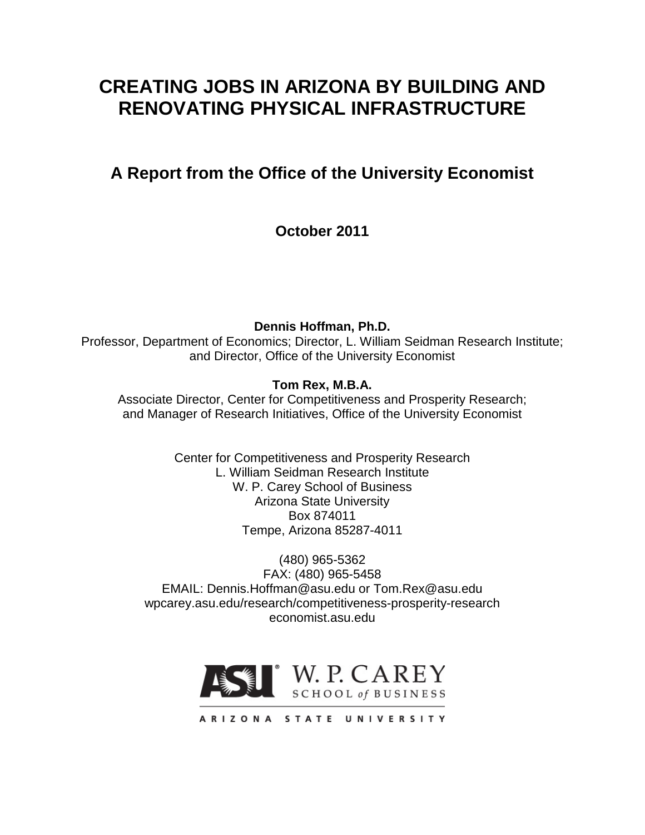# **CREATING JOBS IN ARIZONA BY BUILDING AND RENOVATING PHYSICAL INFRASTRUCTURE**

# **A Report from the Office of the University Economist**

**October 2011**

**Dennis Hoffman, Ph.D.**

Professor, Department of Economics; Director, L. William Seidman Research Institute; and Director, Office of the University Economist

# **Tom Rex, M.B.A.**

Associate Director, Center for Competitiveness and Prosperity Research; and Manager of Research Initiatives, Office of the University Economist

> Center for Competitiveness and Prosperity Research L. William Seidman Research Institute W. P. Carey School of Business Arizona State University Box 874011 Tempe, Arizona 85287-4011

(480) 965-5362 FAX: (480) 965-5458 EMAIL: Dennis.Hoffman@asu.edu or Tom.Rex@asu.edu wpcarey.asu.edu/research/competitiveness-prosperity-research economist.asu.edu



ARIZONA STATE UNIVERSITY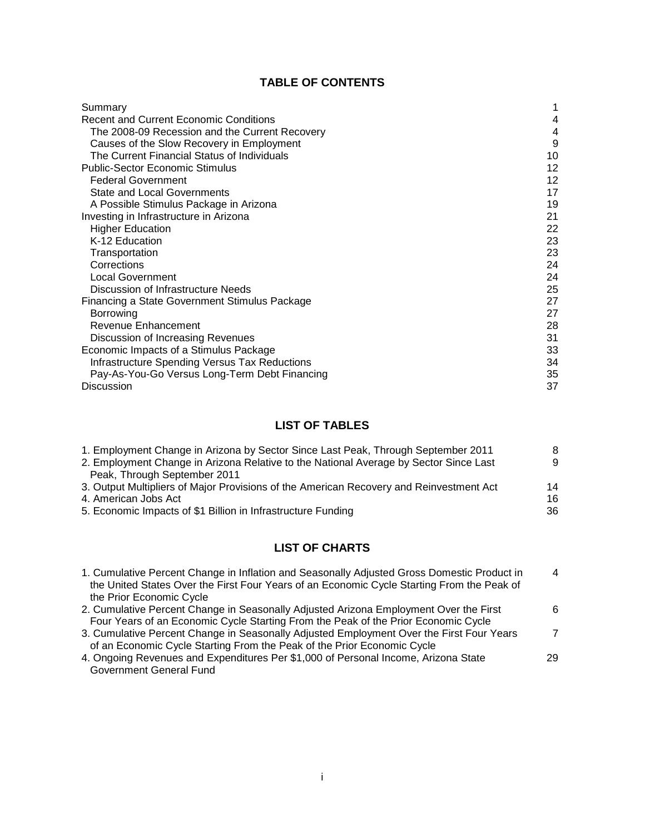# **TABLE OF CONTENTS**

| Summary                                              |    |
|------------------------------------------------------|----|
| <b>Recent and Current Economic Conditions</b>        | 4  |
| The 2008-09 Recession and the Current Recovery       | 4  |
| Causes of the Slow Recovery in Employment            | 9  |
| The Current Financial Status of Individuals          | 10 |
| <b>Public-Sector Economic Stimulus</b>               | 12 |
| <b>Federal Government</b>                            | 12 |
| <b>State and Local Governments</b>                   | 17 |
| A Possible Stimulus Package in Arizona               | 19 |
| Investing in Infrastructure in Arizona               | 21 |
| <b>Higher Education</b>                              | 22 |
| K-12 Education                                       | 23 |
| Transportation                                       | 23 |
| Corrections                                          | 24 |
| <b>Local Government</b>                              | 24 |
| Discussion of Infrastructure Needs                   | 25 |
| Financing a State Government Stimulus Package        | 27 |
| Borrowing                                            | 27 |
| Revenue Enhancement                                  | 28 |
| Discussion of Increasing Revenues                    | 31 |
| Economic Impacts of a Stimulus Package               | 33 |
| <b>Infrastructure Spending Versus Tax Reductions</b> | 34 |
| Pay-As-You-Go Versus Long-Term Debt Financing        | 35 |
| <b>Discussion</b>                                    | 37 |

# **LIST OF TABLES**

| 1. Employment Change in Arizona by Sector Since Last Peak, Through September 2011       | 8  |
|-----------------------------------------------------------------------------------------|----|
| 2. Employment Change in Arizona Relative to the National Average by Sector Since Last   | 9  |
| Peak, Through September 2011                                                            |    |
| 3. Output Multipliers of Major Provisions of the American Recovery and Reinvestment Act | 14 |
| 4. American Jobs Act                                                                    | 16 |
| 5. Economic Impacts of \$1 Billion in Infrastructure Funding                            | 36 |

# **LIST OF CHARTS**

| 1. Cumulative Percent Change in Inflation and Seasonally Adjusted Gross Domestic Product in<br>the United States Over the First Four Years of an Economic Cycle Starting From the Peak of<br>the Prior Economic Cycle | $\overline{4}$ |
|-----------------------------------------------------------------------------------------------------------------------------------------------------------------------------------------------------------------------|----------------|
| 2. Cumulative Percent Change in Seasonally Adjusted Arizona Employment Over the First                                                                                                                                 | 6              |
| Four Years of an Economic Cycle Starting From the Peak of the Prior Economic Cycle                                                                                                                                    |                |
| 3. Cumulative Percent Change in Seasonally Adjusted Employment Over the First Four Years                                                                                                                              | 7              |
| of an Economic Cycle Starting From the Peak of the Prior Economic Cycle                                                                                                                                               |                |
| 4. Ongoing Revenues and Expenditures Per \$1,000 of Personal Income, Arizona State                                                                                                                                    | 29             |
| <b>Government General Fund</b>                                                                                                                                                                                        |                |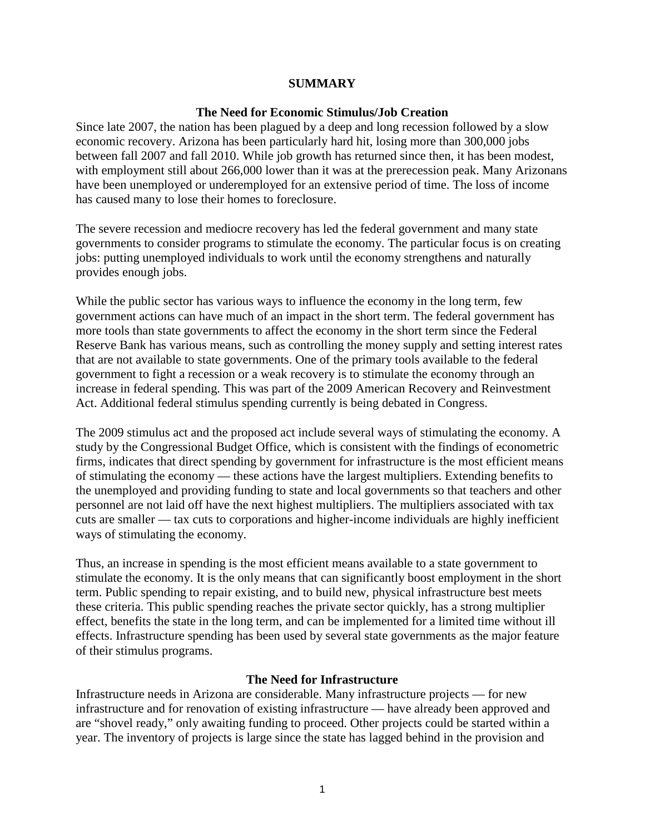#### **SUMMARY**

#### **The Need for Economic Stimulus/Job Creation**

Since late 2007, the nation has been plagued by a deep and long recession followed by a slow economic recovery. Arizona has been particularly hard hit, losing more than 300,000 jobs between fall 2007 and fall 2010. While job growth has returned since then, it has been modest, with employment still about 266,000 lower than it was at the prerecession peak. Many Arizonans have been unemployed or underemployed for an extensive period of time. The loss of income has caused many to lose their homes to foreclosure.

The severe recession and mediocre recovery has led the federal government and many state governments to consider programs to stimulate the economy. The particular focus is on creating jobs: putting unemployed individuals to work until the economy strengthens and naturally provides enough jobs.

While the public sector has various ways to influence the economy in the long term, few government actions can have much of an impact in the short term. The federal government has more tools than state governments to affect the economy in the short term since the Federal Reserve Bank has various means, such as controlling the money supply and setting interest rates that are not available to state governments. One of the primary tools available to the federal government to fight a recession or a weak recovery is to stimulate the economy through an increase in federal spending. This was part of the 2009 American Recovery and Reinvestment Act. Additional federal stimulus spending currently is being debated in Congress.

The 2009 stimulus act and the proposed act include several ways of stimulating the economy. A study by the Congressional Budget Office, which is consistent with the findings of econometric firms, indicates that direct spending by government for infrastructure is the most efficient means of stimulating the economy — these actions have the largest multipliers. Extending benefits to the unemployed and providing funding to state and local governments so that teachers and other personnel are not laid off have the next highest multipliers. The multipliers associated with tax cuts are smaller — tax cuts to corporations and higher-income individuals are highly inefficient ways of stimulating the economy.

Thus, an increase in spending is the most efficient means available to a state government to stimulate the economy. It is the only means that can significantly boost employment in the short term. Public spending to repair existing, and to build new, physical infrastructure best meets these criteria. This public spending reaches the private sector quickly, has a strong multiplier effect, benefits the state in the long term, and can be implemented for a limited time without ill effects. Infrastructure spending has been used by several state governments as the major feature of their stimulus programs.

# **The Need for Infrastructure**

Infrastructure needs in Arizona are considerable. Many infrastructure projects — for new infrastructure and for renovation of existing infrastructure — have already been approved and are "shovel ready," only awaiting funding to proceed. Other projects could be started within a year. The inventory of projects is large since the state has lagged behind in the provision and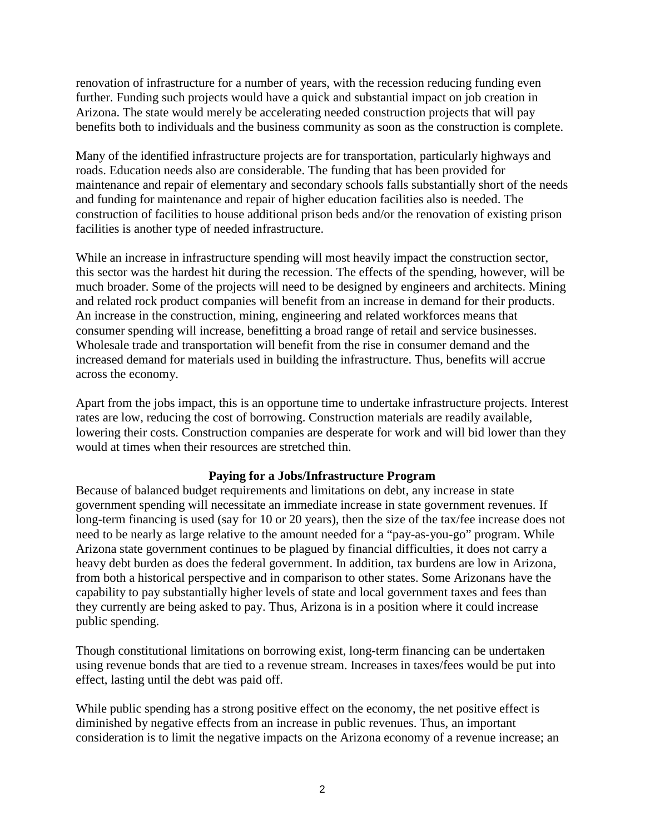renovation of infrastructure for a number of years, with the recession reducing funding even further. Funding such projects would have a quick and substantial impact on job creation in Arizona. The state would merely be accelerating needed construction projects that will pay benefits both to individuals and the business community as soon as the construction is complete.

Many of the identified infrastructure projects are for transportation, particularly highways and roads. Education needs also are considerable. The funding that has been provided for maintenance and repair of elementary and secondary schools falls substantially short of the needs and funding for maintenance and repair of higher education facilities also is needed. The construction of facilities to house additional prison beds and/or the renovation of existing prison facilities is another type of needed infrastructure.

While an increase in infrastructure spending will most heavily impact the construction sector, this sector was the hardest hit during the recession. The effects of the spending, however, will be much broader. Some of the projects will need to be designed by engineers and architects. Mining and related rock product companies will benefit from an increase in demand for their products. An increase in the construction, mining, engineering and related workforces means that consumer spending will increase, benefitting a broad range of retail and service businesses. Wholesale trade and transportation will benefit from the rise in consumer demand and the increased demand for materials used in building the infrastructure. Thus, benefits will accrue across the economy.

Apart from the jobs impact, this is an opportune time to undertake infrastructure projects. Interest rates are low, reducing the cost of borrowing. Construction materials are readily available, lowering their costs. Construction companies are desperate for work and will bid lower than they would at times when their resources are stretched thin.

# **Paying for a Jobs/Infrastructure Program**

Because of balanced budget requirements and limitations on debt, any increase in state government spending will necessitate an immediate increase in state government revenues. If long-term financing is used (say for 10 or 20 years), then the size of the tax/fee increase does not need to be nearly as large relative to the amount needed for a "pay-as-you-go" program. While Arizona state government continues to be plagued by financial difficulties, it does not carry a heavy debt burden as does the federal government. In addition, tax burdens are low in Arizona, from both a historical perspective and in comparison to other states. Some Arizonans have the capability to pay substantially higher levels of state and local government taxes and fees than they currently are being asked to pay. Thus, Arizona is in a position where it could increase public spending.

Though constitutional limitations on borrowing exist, long-term financing can be undertaken using revenue bonds that are tied to a revenue stream. Increases in taxes/fees would be put into effect, lasting until the debt was paid off.

While public spending has a strong positive effect on the economy, the net positive effect is diminished by negative effects from an increase in public revenues. Thus, an important consideration is to limit the negative impacts on the Arizona economy of a revenue increase; an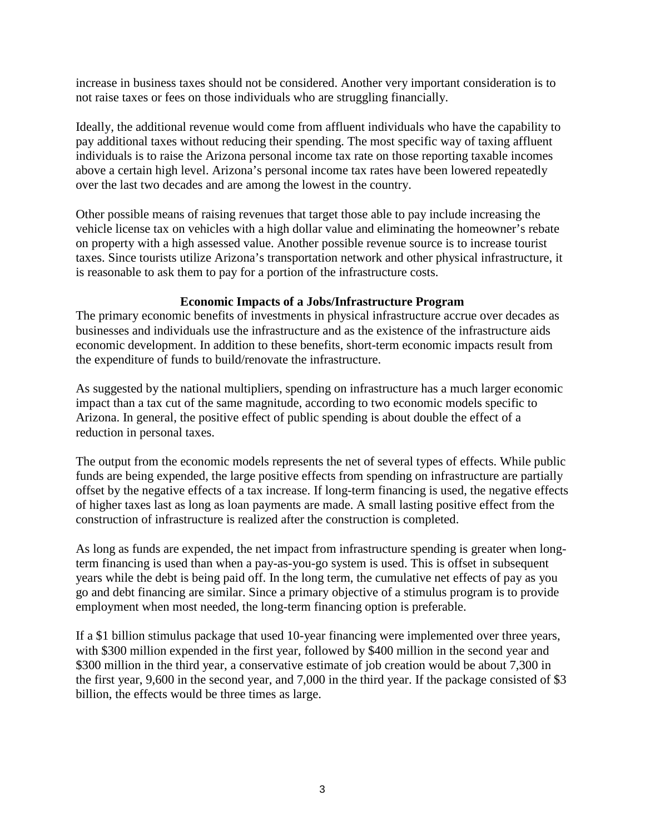increase in business taxes should not be considered. Another very important consideration is to not raise taxes or fees on those individuals who are struggling financially.

Ideally, the additional revenue would come from affluent individuals who have the capability to pay additional taxes without reducing their spending. The most specific way of taxing affluent individuals is to raise the Arizona personal income tax rate on those reporting taxable incomes above a certain high level. Arizona's personal income tax rates have been lowered repeatedly over the last two decades and are among the lowest in the country.

Other possible means of raising revenues that target those able to pay include increasing the vehicle license tax on vehicles with a high dollar value and eliminating the homeowner's rebate on property with a high assessed value. Another possible revenue source is to increase tourist taxes. Since tourists utilize Arizona's transportation network and other physical infrastructure, it is reasonable to ask them to pay for a portion of the infrastructure costs.

# **Economic Impacts of a Jobs/Infrastructure Program**

The primary economic benefits of investments in physical infrastructure accrue over decades as businesses and individuals use the infrastructure and as the existence of the infrastructure aids economic development. In addition to these benefits, short-term economic impacts result from the expenditure of funds to build/renovate the infrastructure.

As suggested by the national multipliers, spending on infrastructure has a much larger economic impact than a tax cut of the same magnitude, according to two economic models specific to Arizona. In general, the positive effect of public spending is about double the effect of a reduction in personal taxes.

The output from the economic models represents the net of several types of effects. While public funds are being expended, the large positive effects from spending on infrastructure are partially offset by the negative effects of a tax increase. If long-term financing is used, the negative effects of higher taxes last as long as loan payments are made. A small lasting positive effect from the construction of infrastructure is realized after the construction is completed.

As long as funds are expended, the net impact from infrastructure spending is greater when longterm financing is used than when a pay-as-you-go system is used. This is offset in subsequent years while the debt is being paid off. In the long term, the cumulative net effects of pay as you go and debt financing are similar. Since a primary objective of a stimulus program is to provide employment when most needed, the long-term financing option is preferable.

If a \$1 billion stimulus package that used 10-year financing were implemented over three years, with \$300 million expended in the first year, followed by \$400 million in the second year and \$300 million in the third year, a conservative estimate of job creation would be about 7,300 in the first year, 9,600 in the second year, and 7,000 in the third year. If the package consisted of \$3 billion, the effects would be three times as large.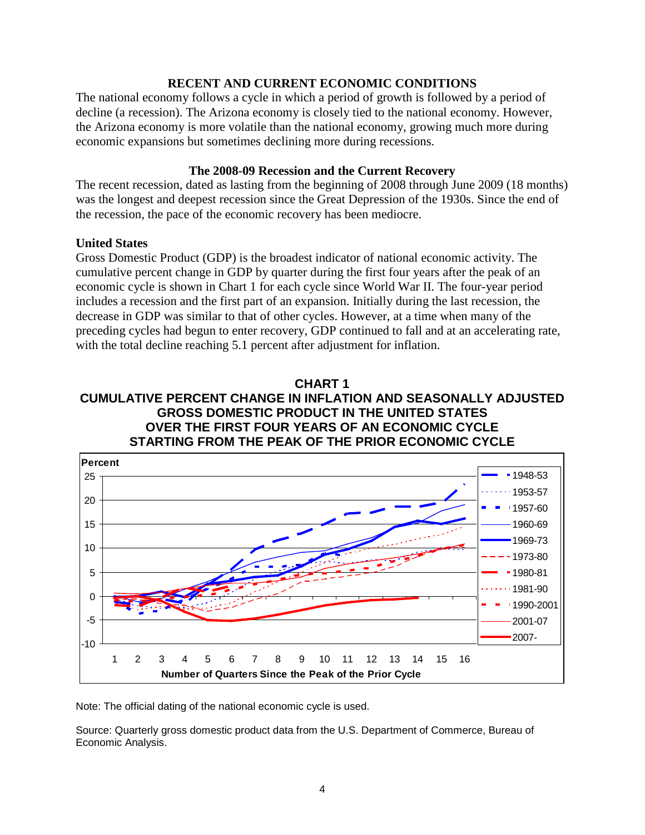# **RECENT AND CURRENT ECONOMIC CONDITIONS**

The national economy follows a cycle in which a period of growth is followed by a period of decline (a recession). The Arizona economy is closely tied to the national economy. However, the Arizona economy is more volatile than the national economy, growing much more during economic expansions but sometimes declining more during recessions.

# **The 2008-09 Recession and the Current Recovery**

The recent recession, dated as lasting from the beginning of 2008 through June 2009 (18 months) was the longest and deepest recession since the Great Depression of the 1930s. Since the end of the recession, the pace of the economic recovery has been mediocre.

# **United States**

Gross Domestic Product (GDP) is the broadest indicator of national economic activity. The cumulative percent change in GDP by quarter during the first four years after the peak of an economic cycle is shown in Chart 1 for each cycle since World War II. The four-year period includes a recession and the first part of an expansion. Initially during the last recession, the decrease in GDP was similar to that of other cycles. However, at a time when many of the preceding cycles had begun to enter recovery, GDP continued to fall and at an accelerating rate, with the total decline reaching 5.1 percent after adjustment for inflation.

# **CHART 1 CUMULATIVE PERCENT CHANGE IN INFLATION AND SEASONALLY ADJUSTED GROSS DOMESTIC PRODUCT IN THE UNITED STATES OVER THE FIRST FOUR YEARS OF AN ECONOMIC CYCLE STARTING FROM THE PEAK OF THE PRIOR ECONOMIC CYCLE**



Note: The official dating of the national economic cycle is used.

Source: Quarterly gross domestic product data from the U.S. Department of Commerce, Bureau of Economic Analysis.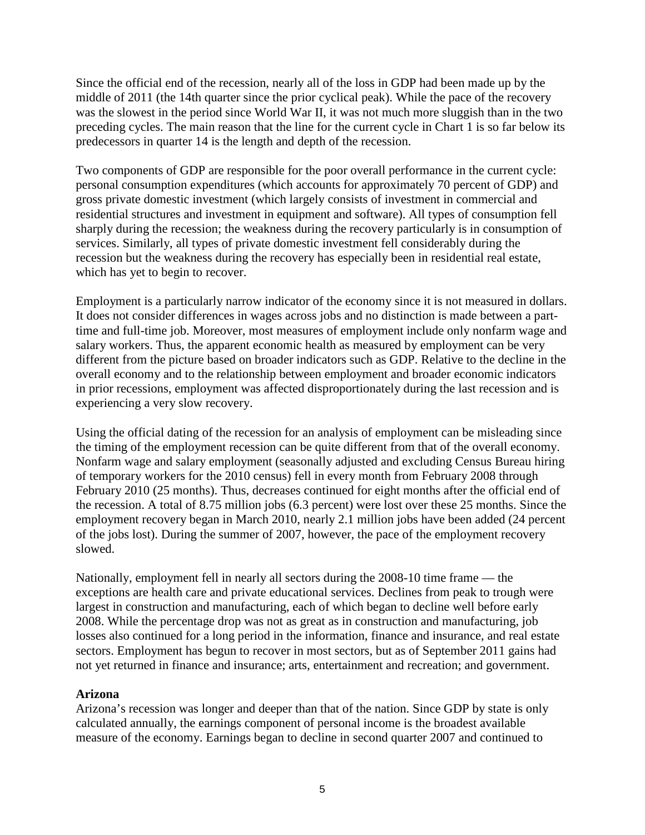Since the official end of the recession, nearly all of the loss in GDP had been made up by the middle of 2011 (the 14th quarter since the prior cyclical peak). While the pace of the recovery was the slowest in the period since World War II, it was not much more sluggish than in the two preceding cycles. The main reason that the line for the current cycle in Chart 1 is so far below its predecessors in quarter 14 is the length and depth of the recession.

Two components of GDP are responsible for the poor overall performance in the current cycle: personal consumption expenditures (which accounts for approximately 70 percent of GDP) and gross private domestic investment (which largely consists of investment in commercial and residential structures and investment in equipment and software). All types of consumption fell sharply during the recession; the weakness during the recovery particularly is in consumption of services. Similarly, all types of private domestic investment fell considerably during the recession but the weakness during the recovery has especially been in residential real estate, which has yet to begin to recover.

Employment is a particularly narrow indicator of the economy since it is not measured in dollars. It does not consider differences in wages across jobs and no distinction is made between a parttime and full-time job. Moreover, most measures of employment include only nonfarm wage and salary workers. Thus, the apparent economic health as measured by employment can be very different from the picture based on broader indicators such as GDP. Relative to the decline in the overall economy and to the relationship between employment and broader economic indicators in prior recessions, employment was affected disproportionately during the last recession and is experiencing a very slow recovery.

Using the official dating of the recession for an analysis of employment can be misleading since the timing of the employment recession can be quite different from that of the overall economy. Nonfarm wage and salary employment (seasonally adjusted and excluding Census Bureau hiring of temporary workers for the 2010 census) fell in every month from February 2008 through February 2010 (25 months). Thus, decreases continued for eight months after the official end of the recession. A total of 8.75 million jobs (6.3 percent) were lost over these 25 months. Since the employment recovery began in March 2010, nearly 2.1 million jobs have been added (24 percent of the jobs lost). During the summer of 2007, however, the pace of the employment recovery slowed.

Nationally, employment fell in nearly all sectors during the 2008-10 time frame — the exceptions are health care and private educational services. Declines from peak to trough were largest in construction and manufacturing, each of which began to decline well before early 2008. While the percentage drop was not as great as in construction and manufacturing, job losses also continued for a long period in the information, finance and insurance, and real estate sectors. Employment has begun to recover in most sectors, but as of September 2011 gains had not yet returned in finance and insurance; arts, entertainment and recreation; and government.

# **Arizona**

Arizona's recession was longer and deeper than that of the nation. Since GDP by state is only calculated annually, the earnings component of personal income is the broadest available measure of the economy. Earnings began to decline in second quarter 2007 and continued to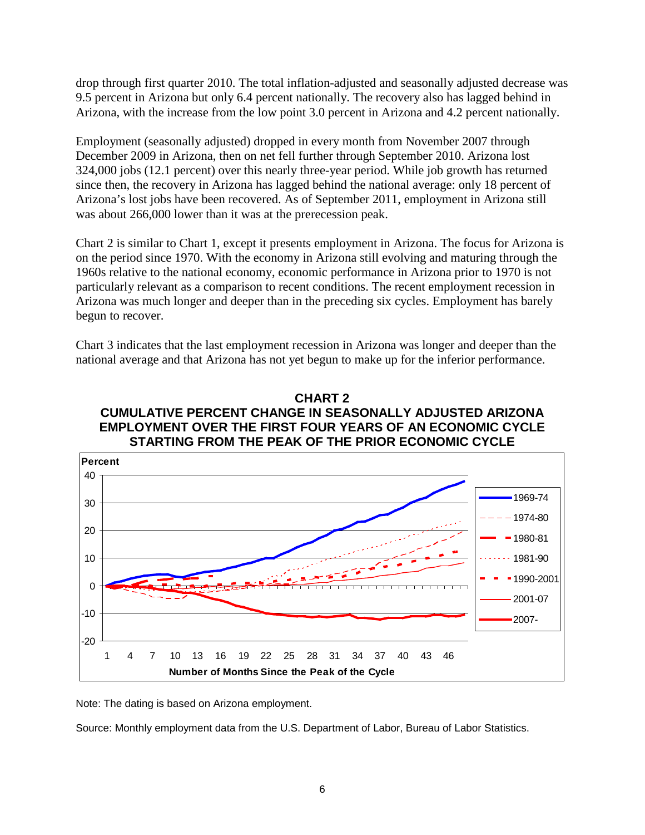drop through first quarter 2010. The total inflation-adjusted and seasonally adjusted decrease was 9.5 percent in Arizona but only 6.4 percent nationally. The recovery also has lagged behind in Arizona, with the increase from the low point 3.0 percent in Arizona and 4.2 percent nationally.

Employment (seasonally adjusted) dropped in every month from November 2007 through December 2009 in Arizona, then on net fell further through September 2010. Arizona lost 324,000 jobs (12.1 percent) over this nearly three-year period. While job growth has returned since then, the recovery in Arizona has lagged behind the national average: only 18 percent of Arizona's lost jobs have been recovered. As of September 2011, employment in Arizona still was about 266,000 lower than it was at the prerecession peak.

Chart 2 is similar to Chart 1, except it presents employment in Arizona. The focus for Arizona is on the period since 1970. With the economy in Arizona still evolving and maturing through the 1960s relative to the national economy, economic performance in Arizona prior to 1970 is not particularly relevant as a comparison to recent conditions. The recent employment recession in Arizona was much longer and deeper than in the preceding six cycles. Employment has barely begun to recover.

Chart 3 indicates that the last employment recession in Arizona was longer and deeper than the national average and that Arizona has not yet begun to make up for the inferior performance.

# **CHART 2 CUMULATIVE PERCENT CHANGE IN SEASONALLY ADJUSTED ARIZONA EMPLOYMENT OVER THE FIRST FOUR YEARS OF AN ECONOMIC CYCLE STARTING FROM THE PEAK OF THE PRIOR ECONOMIC CYCLE**



Note: The dating is based on Arizona employment.

Source: Monthly employment data from the U.S. Department of Labor, Bureau of Labor Statistics.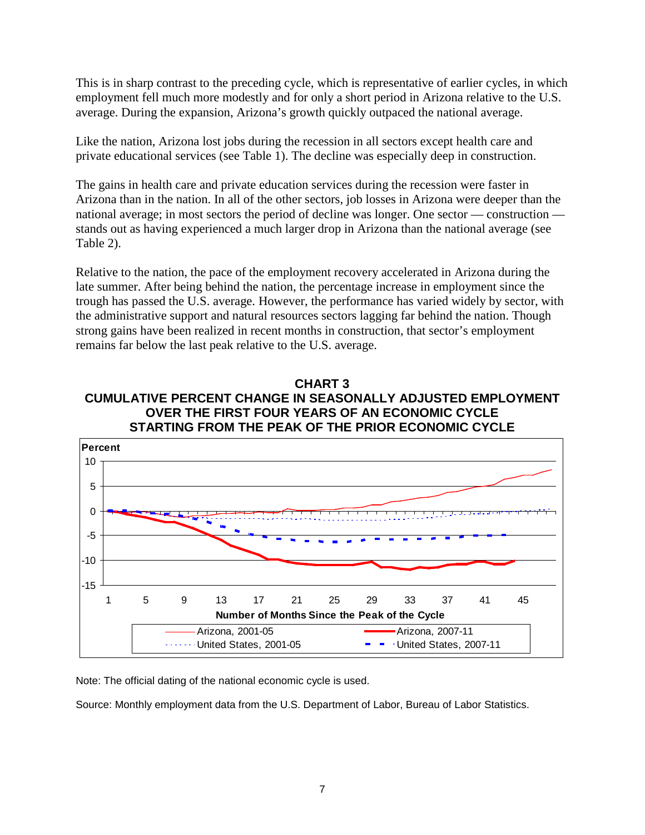This is in sharp contrast to the preceding cycle, which is representative of earlier cycles, in which employment fell much more modestly and for only a short period in Arizona relative to the U.S. average. During the expansion, Arizona's growth quickly outpaced the national average.

Like the nation, Arizona lost jobs during the recession in all sectors except health care and private educational services (see Table 1). The decline was especially deep in construction.

The gains in health care and private education services during the recession were faster in Arizona than in the nation. In all of the other sectors, job losses in Arizona were deeper than the national average; in most sectors the period of decline was longer. One sector — construction stands out as having experienced a much larger drop in Arizona than the national average (see Table 2).

Relative to the nation, the pace of the employment recovery accelerated in Arizona during the late summer. After being behind the nation, the percentage increase in employment since the trough has passed the U.S. average. However, the performance has varied widely by sector, with the administrative support and natural resources sectors lagging far behind the nation. Though strong gains have been realized in recent months in construction, that sector's employment remains far below the last peak relative to the U.S. average.

# **CHART 3 CUMULATIVE PERCENT CHANGE IN SEASONALLY ADJUSTED EMPLOYMENT OVER THE FIRST FOUR YEARS OF AN ECONOMIC CYCLE STARTING FROM THE PEAK OF THE PRIOR ECONOMIC CYCLE**



Note: The official dating of the national economic cycle is used.

Source: Monthly employment data from the U.S. Department of Labor, Bureau of Labor Statistics.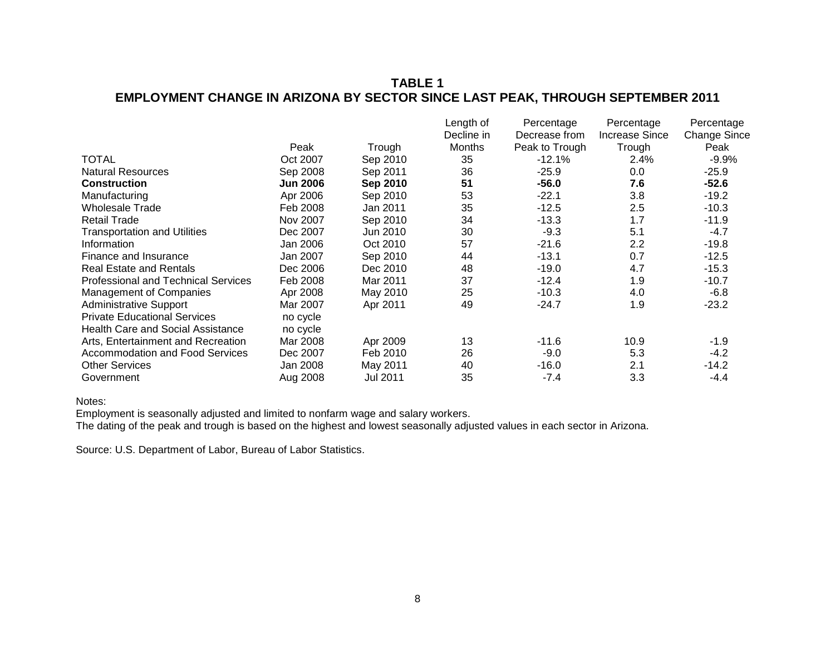# **TABLE 1 EMPLOYMENT CHANGE IN ARIZONA BY SECTOR SINCE LAST PEAK, THROUGH SEPTEMBER 2011**

|                                            |                 |          | Length of     | Percentage     | Percentage            | Percentage          |
|--------------------------------------------|-----------------|----------|---------------|----------------|-----------------------|---------------------|
|                                            |                 |          | Decline in    | Decrease from  | <b>Increase Since</b> | <b>Change Since</b> |
|                                            | Peak            | Trough   | <b>Months</b> | Peak to Trough | Trough                | Peak                |
| <b>TOTAL</b>                               | Oct 2007        | Sep 2010 | 35            | $-12.1\%$      | 2.4%                  | $-9.9%$             |
| <b>Natural Resources</b>                   | Sep 2008        | Sep 2011 | 36            | $-25.9$        | 0.0                   | $-25.9$             |
| <b>Construction</b>                        | <b>Jun 2006</b> | Sep 2010 | 51            | $-56.0$        | 7.6                   | $-52.6$             |
| Manufacturing                              | Apr 2006        | Sep 2010 | 53            | $-22.1$        | 3.8                   | $-19.2$             |
| Wholesale Trade                            | Feb 2008        | Jan 2011 | 35            | $-12.5$        | 2.5                   | $-10.3$             |
| <b>Retail Trade</b>                        | Nov 2007        | Sep 2010 | 34            | $-13.3$        | 1.7                   | $-11.9$             |
| <b>Transportation and Utilities</b>        | Dec 2007        | Jun 2010 | 30            | $-9.3$         | 5.1                   | $-4.7$              |
| Information                                | Jan 2006        | Oct 2010 | 57            | $-21.6$        | 2.2                   | $-19.8$             |
| Finance and Insurance                      | Jan 2007        | Sep 2010 | 44            | $-13.1$        | 0.7                   | $-12.5$             |
| <b>Real Estate and Rentals</b>             | Dec 2006        | Dec 2010 | 48            | $-19.0$        | 4.7                   | $-15.3$             |
| <b>Professional and Technical Services</b> | Feb 2008        | Mar 2011 | 37            | $-12.4$        | 1.9                   | $-10.7$             |
| Management of Companies                    | Apr 2008        | May 2010 | 25            | $-10.3$        | 4.0                   | $-6.8$              |
| <b>Administrative Support</b>              | Mar 2007        | Apr 2011 | 49            | $-24.7$        | 1.9                   | $-23.2$             |
| <b>Private Educational Services</b>        | no cycle        |          |               |                |                       |                     |
| <b>Health Care and Social Assistance</b>   | no cycle        |          |               |                |                       |                     |
| Arts, Entertainment and Recreation         | Mar 2008        | Apr 2009 | 13            | $-11.6$        | 10.9                  | -1.9                |
| <b>Accommodation and Food Services</b>     | Dec 2007        | Feb 2010 | 26            | $-9.0$         | 5.3                   | $-4.2$              |
| <b>Other Services</b>                      | Jan 2008        | May 2011 | 40            | $-16.0$        | 2.1                   | $-14.2$             |
| Government                                 | Aug 2008        | Jul 2011 | 35            | $-7.4$         | 3.3                   | -4.4                |

Notes:

Employment is seasonally adjusted and limited to nonfarm wage and salary workers.

The dating of the peak and trough is based on the highest and lowest seasonally adjusted values in each sector in Arizona.

Source: U.S. Department of Labor, Bureau of Labor Statistics.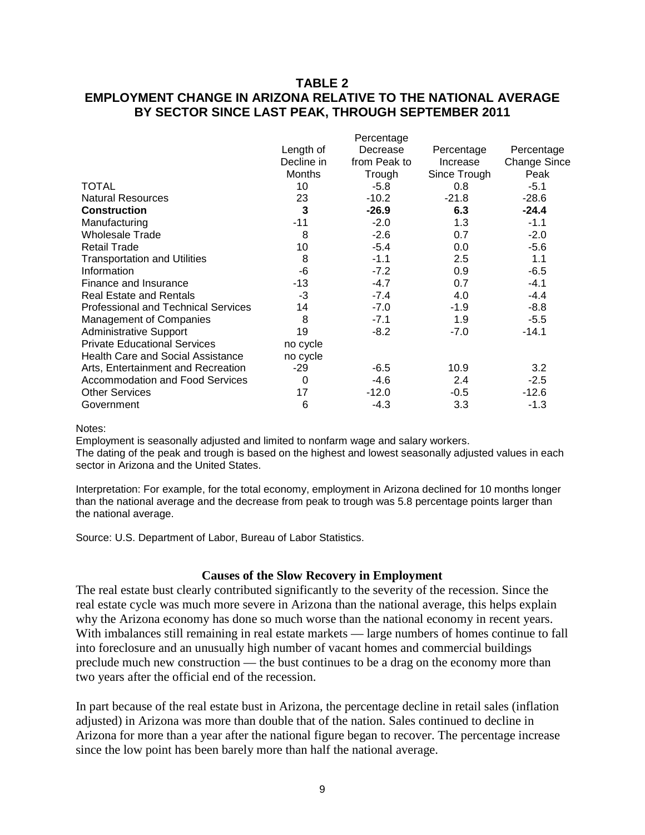# **TABLE 2 EMPLOYMENT CHANGE IN ARIZONA RELATIVE TO THE NATIONAL AVERAGE BY SECTOR SINCE LAST PEAK, THROUGH SEPTEMBER 2011**

| Length of     | Decrease     | Percentage   | Percentage   |
|---------------|--------------|--------------|--------------|
| Decline in    | from Peak to | Increase     | Change Since |
| <b>Months</b> | Trough       | Since Trough | Peak         |
| 10            | $-5.8$       | 0.8          | $-5.1$       |
| 23            | $-10.2$      | $-21.8$      | $-28.6$      |
| 3             | $-26.9$      | 6.3          | $-24.4$      |
| -11           | $-2.0$       | 1.3          | $-1.1$       |
| 8             | $-2.6$       | 0.7          | $-2.0$       |
| 10            | $-5.4$       | 0.0          | $-5.6$       |
| 8             | $-1.1$       | 2.5          | 1.1          |
| -6            | $-7.2$       | 0.9          | $-6.5$       |
| -13           | $-4.7$       | 0.7          | $-4.1$       |
| $-3$          | $-7.4$       | 4.0          | $-4.4$       |
| 14            | $-7.0$       | $-1.9$       | $-8.8$       |
| 8             | $-7.1$       | 1.9          | $-5.5$       |
| 19            | $-8.2$       | $-7.0$       | $-14.1$      |
| no cycle      |              |              |              |
| no cycle      |              |              |              |
| -29           | -6.5         | 10.9         | 3.2          |
| 0             | -4.6         | 2.4          | $-2.5$       |
| 17            | $-12.0$      | $-0.5$       | $-12.6$      |
| 6             | $-4.3$       | 3.3          | $-1.3$       |
|               |              | Percentage   |              |

#### Notes:

Employment is seasonally adjusted and limited to nonfarm wage and salary workers. The dating of the peak and trough is based on the highest and lowest seasonally adjusted values in each sector in Arizona and the United States.

Interpretation: For example, for the total economy, employment in Arizona declined for 10 months longer than the national average and the decrease from peak to trough was 5.8 percentage points larger than the national average.

Source: U.S. Department of Labor, Bureau of Labor Statistics.

#### **Causes of the Slow Recovery in Employment**

The real estate bust clearly contributed significantly to the severity of the recession. Since the real estate cycle was much more severe in Arizona than the national average, this helps explain why the Arizona economy has done so much worse than the national economy in recent years. With imbalances still remaining in real estate markets — large numbers of homes continue to fall into foreclosure and an unusually high number of vacant homes and commercial buildings preclude much new construction — the bust continues to be a drag on the economy more than two years after the official end of the recession.

In part because of the real estate bust in Arizona, the percentage decline in retail sales (inflation adjusted) in Arizona was more than double that of the nation. Sales continued to decline in Arizona for more than a year after the national figure began to recover. The percentage increase since the low point has been barely more than half the national average.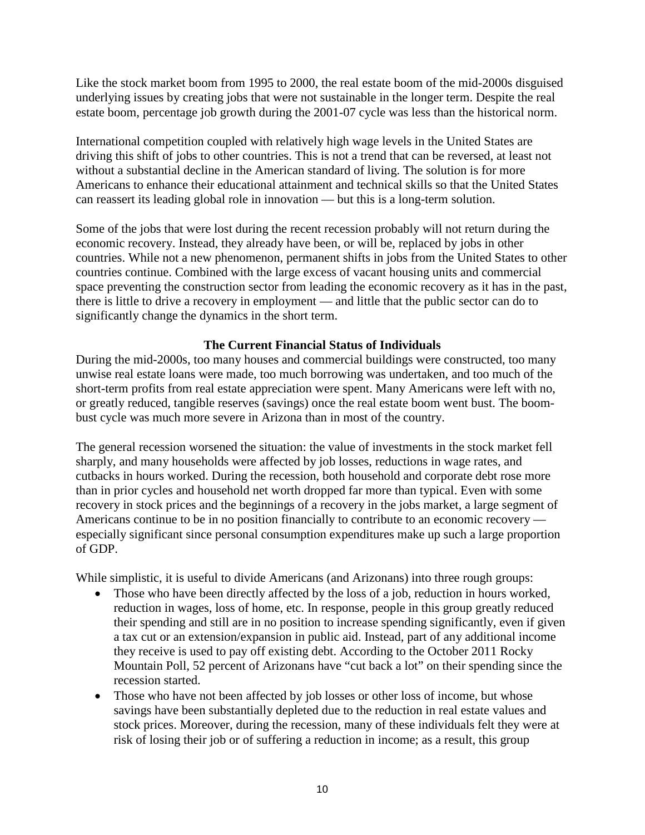Like the stock market boom from 1995 to 2000, the real estate boom of the mid-2000s disguised underlying issues by creating jobs that were not sustainable in the longer term. Despite the real estate boom, percentage job growth during the 2001-07 cycle was less than the historical norm.

International competition coupled with relatively high wage levels in the United States are driving this shift of jobs to other countries. This is not a trend that can be reversed, at least not without a substantial decline in the American standard of living. The solution is for more Americans to enhance their educational attainment and technical skills so that the United States can reassert its leading global role in innovation — but this is a long-term solution.

Some of the jobs that were lost during the recent recession probably will not return during the economic recovery. Instead, they already have been, or will be, replaced by jobs in other countries. While not a new phenomenon, permanent shifts in jobs from the United States to other countries continue. Combined with the large excess of vacant housing units and commercial space preventing the construction sector from leading the economic recovery as it has in the past, there is little to drive a recovery in employment — and little that the public sector can do to significantly change the dynamics in the short term.

# **The Current Financial Status of Individuals**

During the mid-2000s, too many houses and commercial buildings were constructed, too many unwise real estate loans were made, too much borrowing was undertaken, and too much of the short-term profits from real estate appreciation were spent. Many Americans were left with no, or greatly reduced, tangible reserves (savings) once the real estate boom went bust. The boombust cycle was much more severe in Arizona than in most of the country.

The general recession worsened the situation: the value of investments in the stock market fell sharply, and many households were affected by job losses, reductions in wage rates, and cutbacks in hours worked. During the recession, both household and corporate debt rose more than in prior cycles and household net worth dropped far more than typical. Even with some recovery in stock prices and the beginnings of a recovery in the jobs market, a large segment of Americans continue to be in no position financially to contribute to an economic recovery especially significant since personal consumption expenditures make up such a large proportion of GDP.

While simplistic, it is useful to divide Americans (and Arizonans) into three rough groups:

- Those who have been directly affected by the loss of a job, reduction in hours worked, reduction in wages, loss of home, etc. In response, people in this group greatly reduced their spending and still are in no position to increase spending significantly, even if given a tax cut or an extension/expansion in public aid. Instead, part of any additional income they receive is used to pay off existing debt. According to the October 2011 Rocky Mountain Poll, 52 percent of Arizonans have "cut back a lot" on their spending since the recession started.
- Those who have not been affected by job losses or other loss of income, but whose savings have been substantially depleted due to the reduction in real estate values and stock prices. Moreover, during the recession, many of these individuals felt they were at risk of losing their job or of suffering a reduction in income; as a result, this group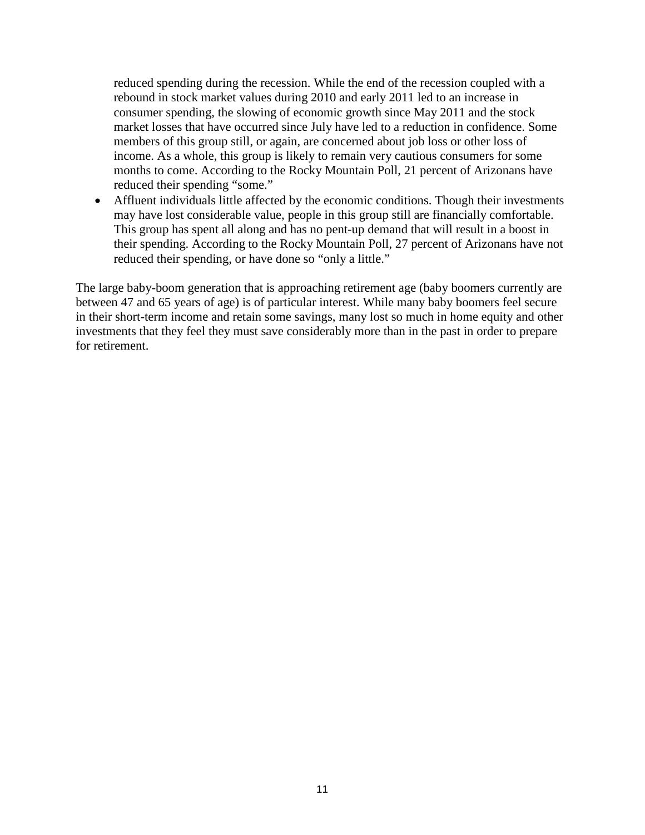reduced spending during the recession. While the end of the recession coupled with a rebound in stock market values during 2010 and early 2011 led to an increase in consumer spending, the slowing of economic growth since May 2011 and the stock market losses that have occurred since July have led to a reduction in confidence. Some members of this group still, or again, are concerned about job loss or other loss of income. As a whole, this group is likely to remain very cautious consumers for some months to come. According to the Rocky Mountain Poll, 21 percent of Arizonans have reduced their spending "some."

• Affluent individuals little affected by the economic conditions. Though their investments may have lost considerable value, people in this group still are financially comfortable. This group has spent all along and has no pent-up demand that will result in a boost in their spending. According to the Rocky Mountain Poll, 27 percent of Arizonans have not reduced their spending, or have done so "only a little."

The large baby-boom generation that is approaching retirement age (baby boomers currently are between 47 and 65 years of age) is of particular interest. While many baby boomers feel secure in their short-term income and retain some savings, many lost so much in home equity and other investments that they feel they must save considerably more than in the past in order to prepare for retirement.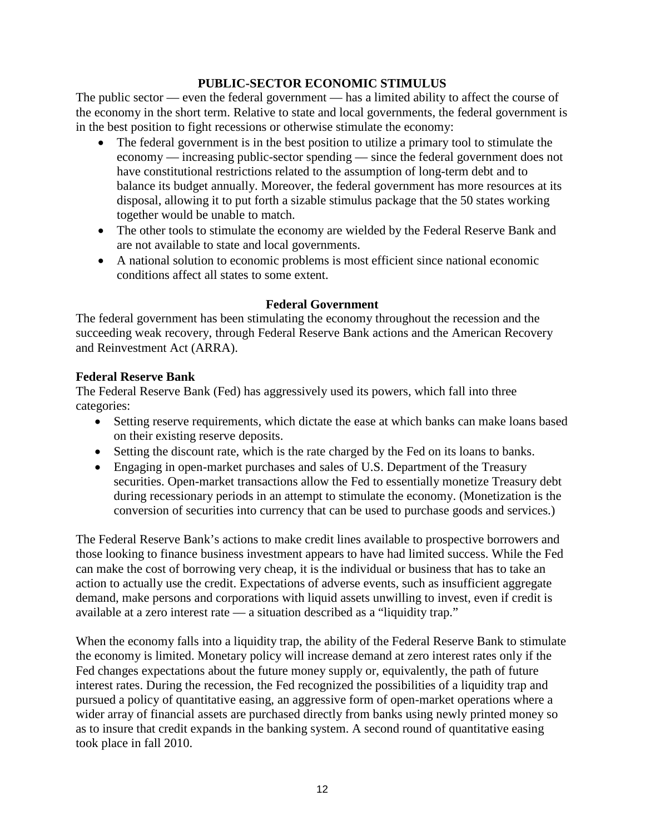# **PUBLIC-SECTOR ECONOMIC STIMULUS**

The public sector — even the federal government — has a limited ability to affect the course of the economy in the short term. Relative to state and local governments, the federal government is in the best position to fight recessions or otherwise stimulate the economy:

- The federal government is in the best position to utilize a primary tool to stimulate the economy — increasing public-sector spending — since the federal government does not have constitutional restrictions related to the assumption of long-term debt and to balance its budget annually. Moreover, the federal government has more resources at its disposal, allowing it to put forth a sizable stimulus package that the 50 states working together would be unable to match.
- The other tools to stimulate the economy are wielded by the Federal Reserve Bank and are not available to state and local governments.
- A national solution to economic problems is most efficient since national economic conditions affect all states to some extent.

# **Federal Government**

The federal government has been stimulating the economy throughout the recession and the succeeding weak recovery, through Federal Reserve Bank actions and the American Recovery and Reinvestment Act (ARRA).

# **Federal Reserve Bank**

The Federal Reserve Bank (Fed) has aggressively used its powers, which fall into three categories:

- Setting reserve requirements, which dictate the ease at which banks can make loans based on their existing reserve deposits.
- Setting the discount rate, which is the rate charged by the Fed on its loans to banks.
- Engaging in open-market purchases and sales of U.S. Department of the Treasury securities. Open-market transactions allow the Fed to essentially monetize Treasury debt during recessionary periods in an attempt to stimulate the economy. (Monetization is the conversion of securities into currency that can be used to purchase goods and services.)

The Federal Reserve Bank's actions to make credit lines available to prospective borrowers and those looking to finance business investment appears to have had limited success. While the Fed can make the cost of borrowing very cheap, it is the individual or business that has to take an action to actually use the credit. Expectations of adverse events, such as insufficient aggregate demand, make persons and corporations with liquid assets unwilling to invest, even if credit is available at a zero interest rate — a situation described as a "liquidity trap."

When the economy falls into a liquidity trap, the ability of the Federal Reserve Bank to stimulate the economy is limited. Monetary policy will increase demand at zero interest rates only if the Fed changes expectations about the future money supply or, equivalently, the path of future interest rates. During the recession, the Fed recognized the possibilities of a liquidity trap and pursued a policy of quantitative easing, an aggressive form of open-market operations where a wider array of financial assets are purchased directly from banks using newly printed money so as to insure that credit expands in the banking system. A second round of quantitative easing took place in fall 2010.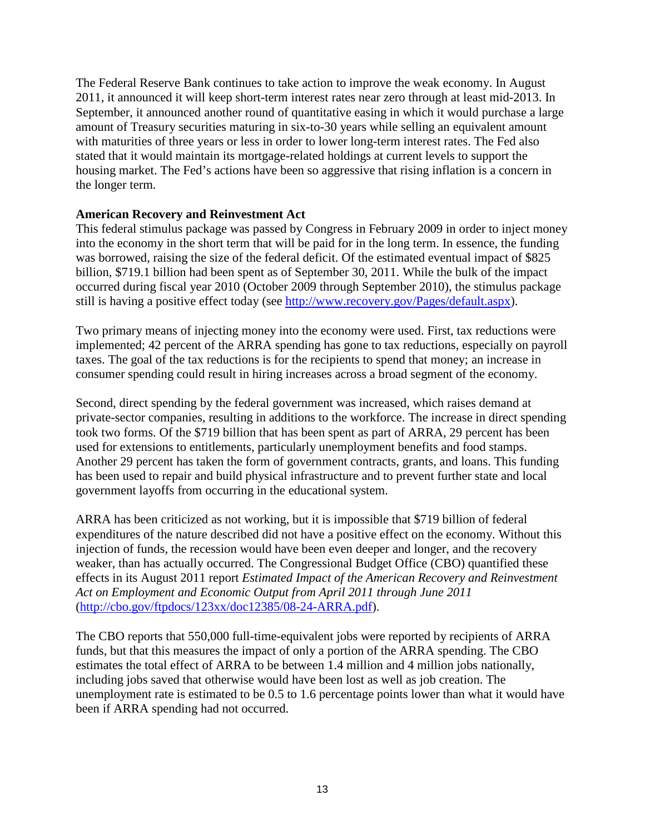The Federal Reserve Bank continues to take action to improve the weak economy. In August 2011, it announced it will keep short-term interest rates near zero through at least mid-2013. In September, it announced another round of quantitative easing in which it would purchase a large amount of Treasury securities maturing in six-to-30 years while selling an equivalent amount with maturities of three years or less in order to lower long-term interest rates. The Fed also stated that it would maintain its mortgage-related holdings at current levels to support the housing market. The Fed's actions have been so aggressive that rising inflation is a concern in the longer term.

# **American Recovery and Reinvestment Act**

This federal stimulus package was passed by Congress in February 2009 in order to inject money into the economy in the short term that will be paid for in the long term. In essence, the funding was borrowed, raising the size of the federal deficit. Of the estimated eventual impact of \$825 billion, \$719.1 billion had been spent as of September 30, 2011. While the bulk of the impact occurred during fiscal year 2010 (October 2009 through September 2010), the stimulus package still is having a positive effect today (see [http://www.recovery.gov/Pages/default.aspx\)](http://www.recovery.gov/Pages/default.aspx).

Two primary means of injecting money into the economy were used. First, tax reductions were implemented; 42 percent of the ARRA spending has gone to tax reductions, especially on payroll taxes. The goal of the tax reductions is for the recipients to spend that money; an increase in consumer spending could result in hiring increases across a broad segment of the economy.

Second, direct spending by the federal government was increased, which raises demand at private-sector companies, resulting in additions to the workforce. The increase in direct spending took two forms. Of the \$719 billion that has been spent as part of ARRA, 29 percent has been used for extensions to entitlements, particularly unemployment benefits and food stamps. Another 29 percent has taken the form of government contracts, grants, and loans. This funding has been used to repair and build physical infrastructure and to prevent further state and local government layoffs from occurring in the educational system.

ARRA has been criticized as not working, but it is impossible that \$719 billion of federal expenditures of the nature described did not have a positive effect on the economy. Without this injection of funds, the recession would have been even deeper and longer, and the recovery weaker, than has actually occurred. The Congressional Budget Office (CBO) quantified these effects in its August 2011 report *Estimated Impact of the American Recovery and Reinvestment Act on Employment and Economic Output from April 2011 through June 2011* [\(http://cbo.gov/ftpdocs/123xx/doc12385/08-24-ARRA.pdf\)](http://cbo.gov/ftpdocs/123xx/doc12385/08-24-ARRA.pdf).

The CBO reports that 550,000 full-time-equivalent jobs were reported by recipients of ARRA funds, but that this measures the impact of only a portion of the ARRA spending. The CBO estimates the total effect of ARRA to be between 1.4 million and 4 million jobs nationally, including jobs saved that otherwise would have been lost as well as job creation. The unemployment rate is estimated to be 0.5 to 1.6 percentage points lower than what it would have been if ARRA spending had not occurred.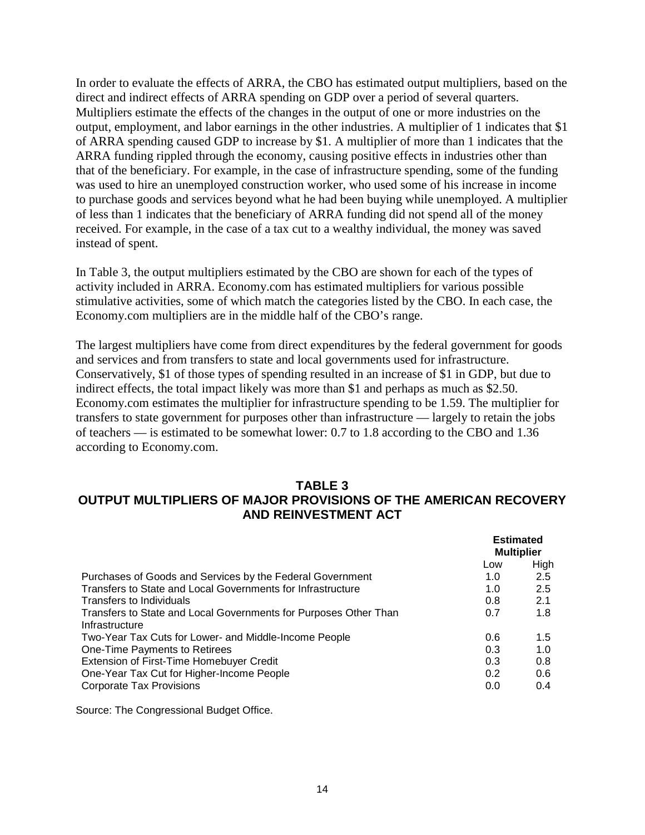In order to evaluate the effects of ARRA, the CBO has estimated output multipliers, based on the direct and indirect effects of ARRA spending on GDP over a period of several quarters. Multipliers estimate the effects of the changes in the output of one or more industries on the output, employment, and labor earnings in the other industries. A multiplier of 1 indicates that \$1 of ARRA spending caused GDP to increase by \$1. A multiplier of more than 1 indicates that the ARRA funding rippled through the economy, causing positive effects in industries other than that of the beneficiary. For example, in the case of infrastructure spending, some of the funding was used to hire an unemployed construction worker, who used some of his increase in income to purchase goods and services beyond what he had been buying while unemployed. A multiplier of less than 1 indicates that the beneficiary of ARRA funding did not spend all of the money received. For example, in the case of a tax cut to a wealthy individual, the money was saved instead of spent.

In Table 3, the output multipliers estimated by the CBO are shown for each of the types of activity included in ARRA. Economy.com has estimated multipliers for various possible stimulative activities, some of which match the categories listed by the CBO. In each case, the Economy.com multipliers are in the middle half of the CBO's range.

The largest multipliers have come from direct expenditures by the federal government for goods and services and from transfers to state and local governments used for infrastructure. Conservatively, \$1 of those types of spending resulted in an increase of \$1 in GDP, but due to indirect effects, the total impact likely was more than \$1 and perhaps as much as \$2.50. Economy.com estimates the multiplier for infrastructure spending to be 1.59. The multiplier for transfers to state government for purposes other than infrastructure — largely to retain the jobs of teachers — is estimated to be somewhat lower: 0.7 to 1.8 according to the CBO and 1.36 according to Economy.com.

#### **TABLE 3 OUTPUT MULTIPLIERS OF MAJOR PROVISIONS OF THE AMERICAN RECOVERY AND REINVESTMENT ACT**

|                                                                                    | <b>Estimated</b><br><b>Multiplier</b> |      |
|------------------------------------------------------------------------------------|---------------------------------------|------|
|                                                                                    | Low                                   | High |
| Purchases of Goods and Services by the Federal Government                          | 1.0                                   | 2.5  |
| Transfers to State and Local Governments for Infrastructure                        | 1.0                                   | 2.5  |
| Transfers to Individuals                                                           | 0.8                                   | 2.1  |
| Transfers to State and Local Governments for Purposes Other Than<br>Infrastructure | 0.7                                   | 1.8  |
| Two-Year Tax Cuts for Lower- and Middle-Income People                              | 0.6                                   | 1.5  |
| One-Time Payments to Retirees                                                      | 0.3                                   | 1.0  |
| Extension of First-Time Homebuyer Credit                                           | 0.3                                   | 0.8  |
| One-Year Tax Cut for Higher-Income People                                          | 0.2                                   | 0.6  |
| <b>Corporate Tax Provisions</b>                                                    | 0.0                                   | 0.4  |

Source: The Congressional Budget Office.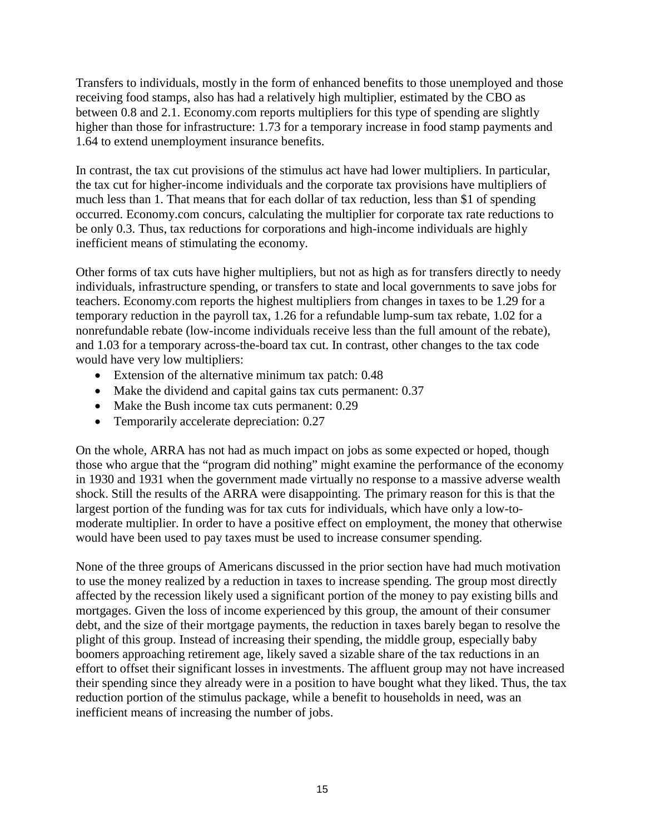Transfers to individuals, mostly in the form of enhanced benefits to those unemployed and those receiving food stamps, also has had a relatively high multiplier, estimated by the CBO as between 0.8 and 2.1. Economy.com reports multipliers for this type of spending are slightly higher than those for infrastructure: 1.73 for a temporary increase in food stamp payments and 1.64 to extend unemployment insurance benefits.

In contrast, the tax cut provisions of the stimulus act have had lower multipliers. In particular, the tax cut for higher-income individuals and the corporate tax provisions have multipliers of much less than 1. That means that for each dollar of tax reduction, less than \$1 of spending occurred. Economy.com concurs, calculating the multiplier for corporate tax rate reductions to be only 0.3. Thus, tax reductions for corporations and high-income individuals are highly inefficient means of stimulating the economy.

Other forms of tax cuts have higher multipliers, but not as high as for transfers directly to needy individuals, infrastructure spending, or transfers to state and local governments to save jobs for teachers. Economy.com reports the highest multipliers from changes in taxes to be 1.29 for a temporary reduction in the payroll tax, 1.26 for a refundable lump-sum tax rebate, 1.02 for a nonrefundable rebate (low-income individuals receive less than the full amount of the rebate), and 1.03 for a temporary across-the-board tax cut. In contrast, other changes to the tax code would have very low multipliers:

- Extension of the alternative minimum tax patch: 0.48
- Make the dividend and capital gains tax cuts permanent: 0.37
- Make the Bush income tax cuts permanent: 0.29
- Temporarily accelerate depreciation: 0.27

On the whole, ARRA has not had as much impact on jobs as some expected or hoped, though those who argue that the "program did nothing" might examine the performance of the economy in 1930 and 1931 when the government made virtually no response to a massive adverse wealth shock. Still the results of the ARRA were disappointing. The primary reason for this is that the largest portion of the funding was for tax cuts for individuals, which have only a low-tomoderate multiplier. In order to have a positive effect on employment, the money that otherwise would have been used to pay taxes must be used to increase consumer spending.

None of the three groups of Americans discussed in the prior section have had much motivation to use the money realized by a reduction in taxes to increase spending. The group most directly affected by the recession likely used a significant portion of the money to pay existing bills and mortgages. Given the loss of income experienced by this group, the amount of their consumer debt, and the size of their mortgage payments, the reduction in taxes barely began to resolve the plight of this group. Instead of increasing their spending, the middle group, especially baby boomers approaching retirement age, likely saved a sizable share of the tax reductions in an effort to offset their significant losses in investments. The affluent group may not have increased their spending since they already were in a position to have bought what they liked. Thus, the tax reduction portion of the stimulus package, while a benefit to households in need, was an inefficient means of increasing the number of jobs.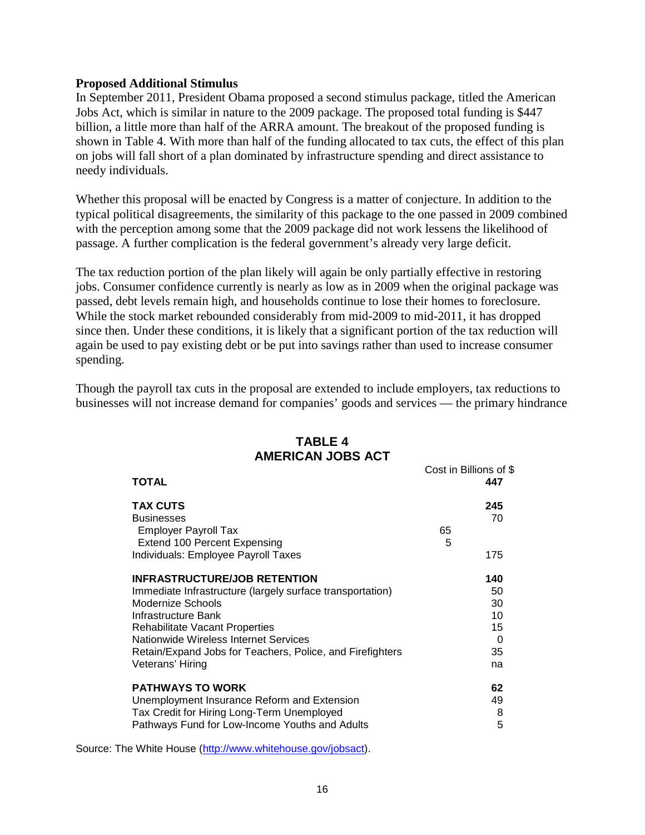#### **Proposed Additional Stimulus**

In September 2011, President Obama proposed a second stimulus package, titled the American Jobs Act, which is similar in nature to the 2009 package. The proposed total funding is \$447 billion, a little more than half of the ARRA amount. The breakout of the proposed funding is shown in Table 4. With more than half of the funding allocated to tax cuts, the effect of this plan on jobs will fall short of a plan dominated by infrastructure spending and direct assistance to needy individuals.

Whether this proposal will be enacted by Congress is a matter of conjecture. In addition to the typical political disagreements, the similarity of this package to the one passed in 2009 combined with the perception among some that the 2009 package did not work lessens the likelihood of passage. A further complication is the federal government's already very large deficit.

The tax reduction portion of the plan likely will again be only partially effective in restoring jobs. Consumer confidence currently is nearly as low as in 2009 when the original package was passed, debt levels remain high, and households continue to lose their homes to foreclosure. While the stock market rebounded considerably from mid-2009 to mid-2011, it has dropped since then. Under these conditions, it is likely that a significant portion of the tax reduction will again be used to pay existing debt or be put into savings rather than used to increase consumer spending.

Though the payroll tax cuts in the proposal are extended to include employers, tax reductions to businesses will not increase demand for companies' goods and services — the primary hindrance

| <b>AMERICAN JOBS ACT</b>                                                                     |    |                               |
|----------------------------------------------------------------------------------------------|----|-------------------------------|
| <b>TOTAL</b>                                                                                 |    | Cost in Billions of \$<br>447 |
| <b>TAX CUTS</b><br><b>Businesses</b><br>Employer Payroll Tax                                 | 65 | 245<br>70                     |
| <b>Extend 100 Percent Expensing</b><br>Individuals: Employee Payroll Taxes                   | 5  | 175                           |
| <b>INFRASTRUCTURE/JOB RETENTION</b>                                                          |    | 140                           |
| Immediate Infrastructure (largely surface transportation)<br>Modernize Schools               |    | 50<br>30                      |
| Infrastructure Bank                                                                          |    | 10                            |
| <b>Rehabilitate Vacant Properties</b><br>Nationwide Wireless Internet Services               |    | 15<br>$\Omega$                |
| Retain/Expand Jobs for Teachers, Police, and Firefighters                                    |    | 35                            |
| Veterans' Hiring                                                                             |    | na                            |
| <b>PATHWAYS TO WORK</b>                                                                      |    | 62                            |
| Unemployment Insurance Reform and Extension                                                  |    | 49                            |
| Tax Credit for Hiring Long-Term Unemployed<br>Pathways Fund for Low-Income Youths and Adults |    | 8<br>5                        |

# **TABLE 4**

Source: The White House [\(http://www.whitehouse.gov/jobsact\)](http://www.whitehouse.gov/jobsact).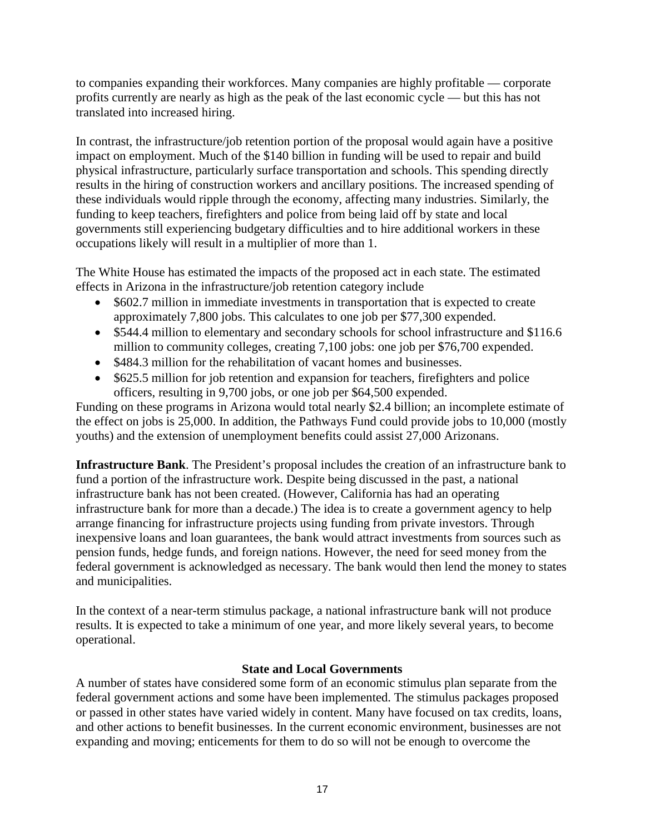to companies expanding their workforces. Many companies are highly profitable — corporate profits currently are nearly as high as the peak of the last economic cycle — but this has not translated into increased hiring.

In contrast, the infrastructure/job retention portion of the proposal would again have a positive impact on employment. Much of the \$140 billion in funding will be used to repair and build physical infrastructure, particularly surface transportation and schools. This spending directly results in the hiring of construction workers and ancillary positions. The increased spending of these individuals would ripple through the economy, affecting many industries. Similarly, the funding to keep teachers, firefighters and police from being laid off by state and local governments still experiencing budgetary difficulties and to hire additional workers in these occupations likely will result in a multiplier of more than 1.

The White House has estimated the impacts of the proposed act in each state. The estimated effects in Arizona in the infrastructure/job retention category include

- \$602.7 million in immediate investments in transportation that is expected to create approximately 7,800 jobs. This calculates to one job per \$77,300 expended.
- \$544.4 million to elementary and secondary schools for school infrastructure and \$116.6 million to community colleges, creating 7,100 jobs: one job per \$76,700 expended.
- \$484.3 million for the rehabilitation of vacant homes and businesses.
- \$625.5 million for job retention and expansion for teachers, firefighters and police officers, resulting in 9,700 jobs, or one job per \$64,500 expended.

Funding on these programs in Arizona would total nearly \$2.4 billion; an incomplete estimate of the effect on jobs is 25,000. In addition, the Pathways Fund could provide jobs to 10,000 (mostly youths) and the extension of unemployment benefits could assist 27,000 Arizonans.

**Infrastructure Bank**. The President's proposal includes the creation of an infrastructure bank to fund a portion of the infrastructure work. Despite being discussed in the past, a national infrastructure bank has not been created. (However, California has had an operating infrastructure bank for more than a decade.) The idea is to create a government agency to help arrange financing for infrastructure projects using funding from private investors. Through inexpensive loans and loan guarantees, the bank would attract investments from sources such as pension funds, hedge funds, and foreign nations. However, the need for seed money from the federal government is acknowledged as necessary. The bank would then lend the money to states and municipalities.

In the context of a near-term stimulus package, a national infrastructure bank will not produce results. It is expected to take a minimum of one year, and more likely several years, to become operational.

# **State and Local Governments**

A number of states have considered some form of an economic stimulus plan separate from the federal government actions and some have been implemented. The stimulus packages proposed or passed in other states have varied widely in content. Many have focused on tax credits, loans, and other actions to benefit businesses. In the current economic environment, businesses are not expanding and moving; enticements for them to do so will not be enough to overcome the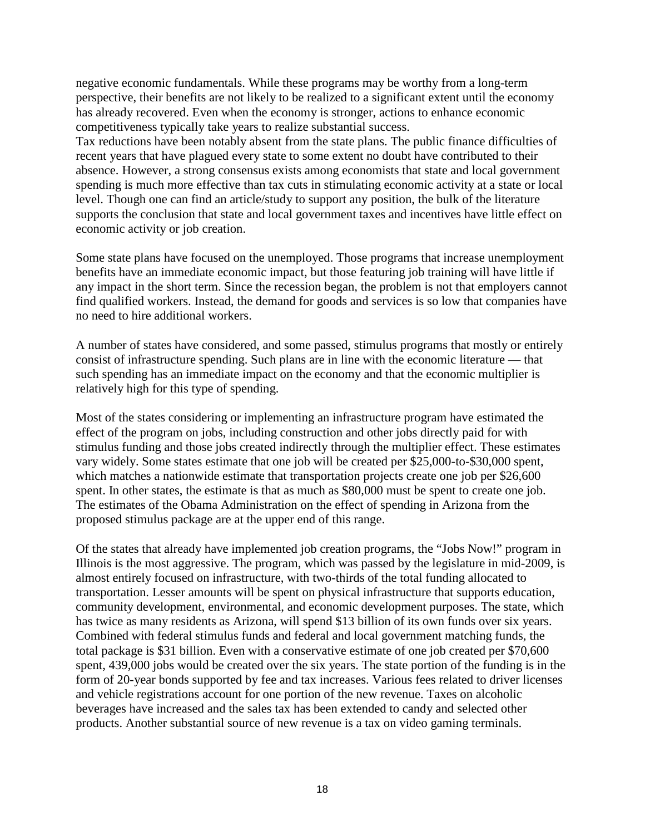negative economic fundamentals. While these programs may be worthy from a long-term perspective, their benefits are not likely to be realized to a significant extent until the economy has already recovered. Even when the economy is stronger, actions to enhance economic competitiveness typically take years to realize substantial success.

Tax reductions have been notably absent from the state plans. The public finance difficulties of recent years that have plagued every state to some extent no doubt have contributed to their absence. However, a strong consensus exists among economists that state and local government spending is much more effective than tax cuts in stimulating economic activity at a state or local level. Though one can find an article/study to support any position, the bulk of the literature supports the conclusion that state and local government taxes and incentives have little effect on economic activity or job creation.

Some state plans have focused on the unemployed. Those programs that increase unemployment benefits have an immediate economic impact, but those featuring job training will have little if any impact in the short term. Since the recession began, the problem is not that employers cannot find qualified workers. Instead, the demand for goods and services is so low that companies have no need to hire additional workers.

A number of states have considered, and some passed, stimulus programs that mostly or entirely consist of infrastructure spending. Such plans are in line with the economic literature — that such spending has an immediate impact on the economy and that the economic multiplier is relatively high for this type of spending.

Most of the states considering or implementing an infrastructure program have estimated the effect of the program on jobs, including construction and other jobs directly paid for with stimulus funding and those jobs created indirectly through the multiplier effect. These estimates vary widely. Some states estimate that one job will be created per \$25,000-to-\$30,000 spent, which matches a nationwide estimate that transportation projects create one job per \$26,600 spent. In other states, the estimate is that as much as \$80,000 must be spent to create one job. The estimates of the Obama Administration on the effect of spending in Arizona from the proposed stimulus package are at the upper end of this range.

Of the states that already have implemented job creation programs, the "Jobs Now!" program in Illinois is the most aggressive. The program, which was passed by the legislature in mid-2009, is almost entirely focused on infrastructure, with two-thirds of the total funding allocated to transportation. Lesser amounts will be spent on physical infrastructure that supports education, community development, environmental, and economic development purposes. The state, which has twice as many residents as Arizona, will spend \$13 billion of its own funds over six years. Combined with federal stimulus funds and federal and local government matching funds, the total package is \$31 billion. Even with a conservative estimate of one job created per \$70,600 spent, 439,000 jobs would be created over the six years. The state portion of the funding is in the form of 20-year bonds supported by fee and tax increases. Various fees related to driver licenses and vehicle registrations account for one portion of the new revenue. Taxes on alcoholic beverages have increased and the sales tax has been extended to candy and selected other products. Another substantial source of new revenue is a tax on video gaming terminals.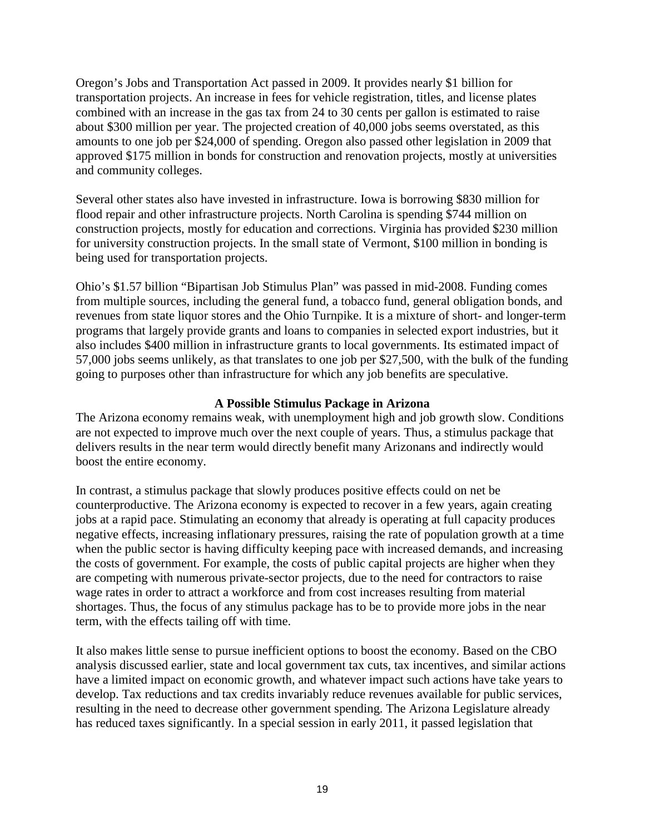Oregon's Jobs and Transportation Act passed in 2009. It provides nearly \$1 billion for transportation projects. An increase in fees for vehicle registration, titles, and license plates combined with an increase in the gas tax from 24 to 30 cents per gallon is estimated to raise about \$300 million per year. The projected creation of 40,000 jobs seems overstated, as this amounts to one job per \$24,000 of spending. Oregon also passed other legislation in 2009 that approved \$175 million in bonds for construction and renovation projects, mostly at universities and community colleges.

Several other states also have invested in infrastructure. Iowa is borrowing \$830 million for flood repair and other infrastructure projects. North Carolina is spending \$744 million on construction projects, mostly for education and corrections. Virginia has provided \$230 million for university construction projects. In the small state of Vermont, \$100 million in bonding is being used for transportation projects.

Ohio's \$1.57 billion "Bipartisan Job Stimulus Plan" was passed in mid-2008. Funding comes from multiple sources, including the general fund, a tobacco fund, general obligation bonds, and revenues from state liquor stores and the Ohio Turnpike. It is a mixture of short- and longer-term programs that largely provide grants and loans to companies in selected export industries, but it also includes \$400 million in infrastructure grants to local governments. Its estimated impact of 57,000 jobs seems unlikely, as that translates to one job per \$27,500, with the bulk of the funding going to purposes other than infrastructure for which any job benefits are speculative.

# **A Possible Stimulus Package in Arizona**

The Arizona economy remains weak, with unemployment high and job growth slow. Conditions are not expected to improve much over the next couple of years. Thus, a stimulus package that delivers results in the near term would directly benefit many Arizonans and indirectly would boost the entire economy.

In contrast, a stimulus package that slowly produces positive effects could on net be counterproductive. The Arizona economy is expected to recover in a few years, again creating jobs at a rapid pace. Stimulating an economy that already is operating at full capacity produces negative effects, increasing inflationary pressures, raising the rate of population growth at a time when the public sector is having difficulty keeping pace with increased demands, and increasing the costs of government. For example, the costs of public capital projects are higher when they are competing with numerous private-sector projects, due to the need for contractors to raise wage rates in order to attract a workforce and from cost increases resulting from material shortages. Thus, the focus of any stimulus package has to be to provide more jobs in the near term, with the effects tailing off with time.

It also makes little sense to pursue inefficient options to boost the economy. Based on the CBO analysis discussed earlier, state and local government tax cuts, tax incentives, and similar actions have a limited impact on economic growth, and whatever impact such actions have take years to develop. Tax reductions and tax credits invariably reduce revenues available for public services, resulting in the need to decrease other government spending. The Arizona Legislature already has reduced taxes significantly. In a special session in early 2011, it passed legislation that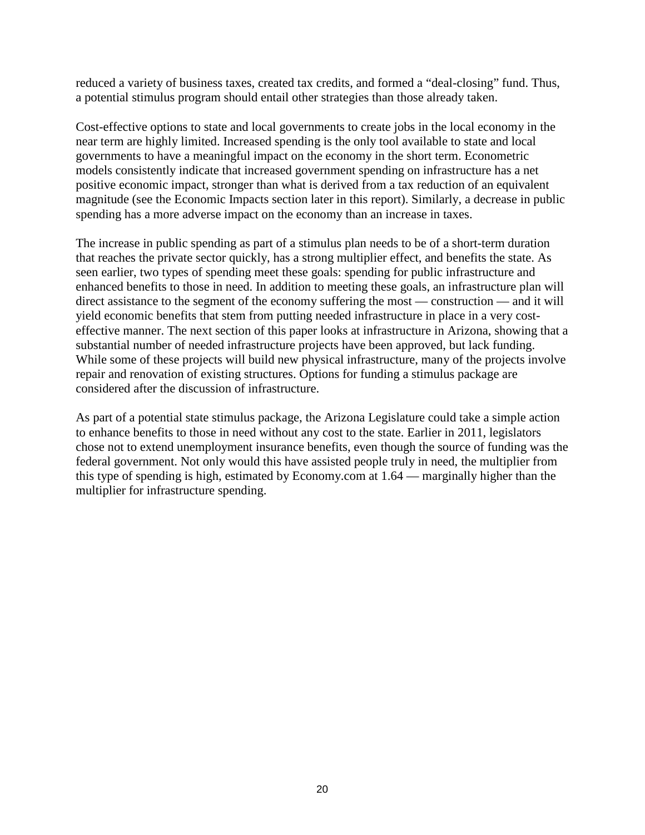reduced a variety of business taxes, created tax credits, and formed a "deal-closing" fund. Thus, a potential stimulus program should entail other strategies than those already taken.

Cost-effective options to state and local governments to create jobs in the local economy in the near term are highly limited. Increased spending is the only tool available to state and local governments to have a meaningful impact on the economy in the short term. Econometric models consistently indicate that increased government spending on infrastructure has a net positive economic impact, stronger than what is derived from a tax reduction of an equivalent magnitude (see the Economic Impacts section later in this report). Similarly, a decrease in public spending has a more adverse impact on the economy than an increase in taxes.

The increase in public spending as part of a stimulus plan needs to be of a short-term duration that reaches the private sector quickly, has a strong multiplier effect, and benefits the state. As seen earlier, two types of spending meet these goals: spending for public infrastructure and enhanced benefits to those in need. In addition to meeting these goals, an infrastructure plan will direct assistance to the segment of the economy suffering the most — construction — and it will yield economic benefits that stem from putting needed infrastructure in place in a very costeffective manner. The next section of this paper looks at infrastructure in Arizona, showing that a substantial number of needed infrastructure projects have been approved, but lack funding. While some of these projects will build new physical infrastructure, many of the projects involve repair and renovation of existing structures. Options for funding a stimulus package are considered after the discussion of infrastructure.

As part of a potential state stimulus package, the Arizona Legislature could take a simple action to enhance benefits to those in need without any cost to the state. Earlier in 2011, legislators chose not to extend unemployment insurance benefits, even though the source of funding was the federal government. Not only would this have assisted people truly in need, the multiplier from this type of spending is high, estimated by Economy.com at 1.64 — marginally higher than the multiplier for infrastructure spending.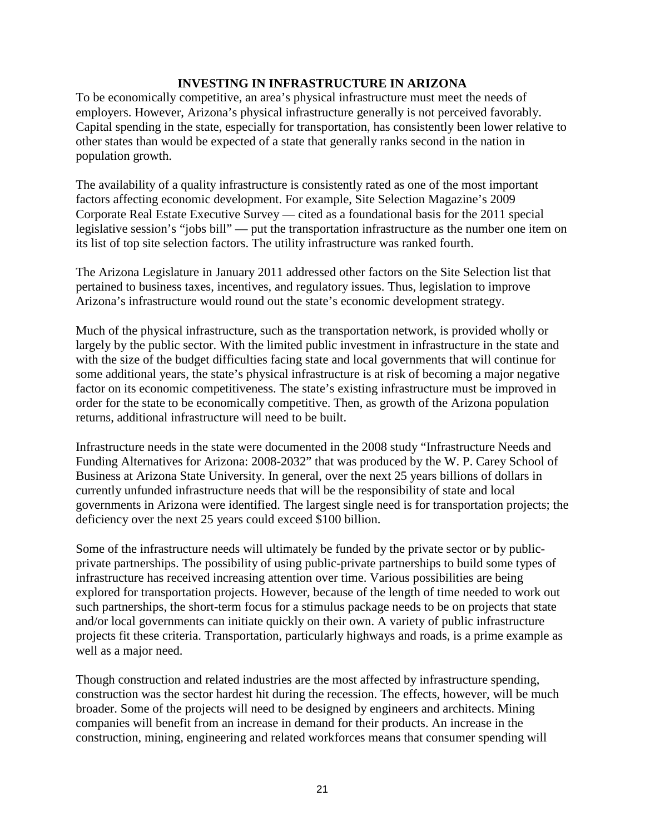# **INVESTING IN INFRASTRUCTURE IN ARIZONA**

To be economically competitive, an area's physical infrastructure must meet the needs of employers. However, Arizona's physical infrastructure generally is not perceived favorably. Capital spending in the state, especially for transportation, has consistently been lower relative to other states than would be expected of a state that generally ranks second in the nation in population growth.

The availability of a quality infrastructure is consistently rated as one of the most important factors affecting economic development. For example, Site Selection Magazine's 2009 Corporate Real Estate Executive Survey — cited as a foundational basis for the 2011 special legislative session's "jobs bill" — put the transportation infrastructure as the number one item on its list of top site selection factors. The utility infrastructure was ranked fourth.

The Arizona Legislature in January 2011 addressed other factors on the Site Selection list that pertained to business taxes, incentives, and regulatory issues. Thus, legislation to improve Arizona's infrastructure would round out the state's economic development strategy.

Much of the physical infrastructure, such as the transportation network, is provided wholly or largely by the public sector. With the limited public investment in infrastructure in the state and with the size of the budget difficulties facing state and local governments that will continue for some additional years, the state's physical infrastructure is at risk of becoming a major negative factor on its economic competitiveness. The state's existing infrastructure must be improved in order for the state to be economically competitive. Then, as growth of the Arizona population returns, additional infrastructure will need to be built.

Infrastructure needs in the state were documented in the 2008 study "Infrastructure Needs and Funding Alternatives for Arizona: 2008-2032" that was produced by the W. P. Carey School of Business at Arizona State University. In general, over the next 25 years billions of dollars in currently unfunded infrastructure needs that will be the responsibility of state and local governments in Arizona were identified. The largest single need is for transportation projects; the deficiency over the next 25 years could exceed \$100 billion.

Some of the infrastructure needs will ultimately be funded by the private sector or by publicprivate partnerships. The possibility of using public-private partnerships to build some types of infrastructure has received increasing attention over time. Various possibilities are being explored for transportation projects. However, because of the length of time needed to work out such partnerships, the short-term focus for a stimulus package needs to be on projects that state and/or local governments can initiate quickly on their own. A variety of public infrastructure projects fit these criteria. Transportation, particularly highways and roads, is a prime example as well as a major need.

Though construction and related industries are the most affected by infrastructure spending, construction was the sector hardest hit during the recession. The effects, however, will be much broader. Some of the projects will need to be designed by engineers and architects. Mining companies will benefit from an increase in demand for their products. An increase in the construction, mining, engineering and related workforces means that consumer spending will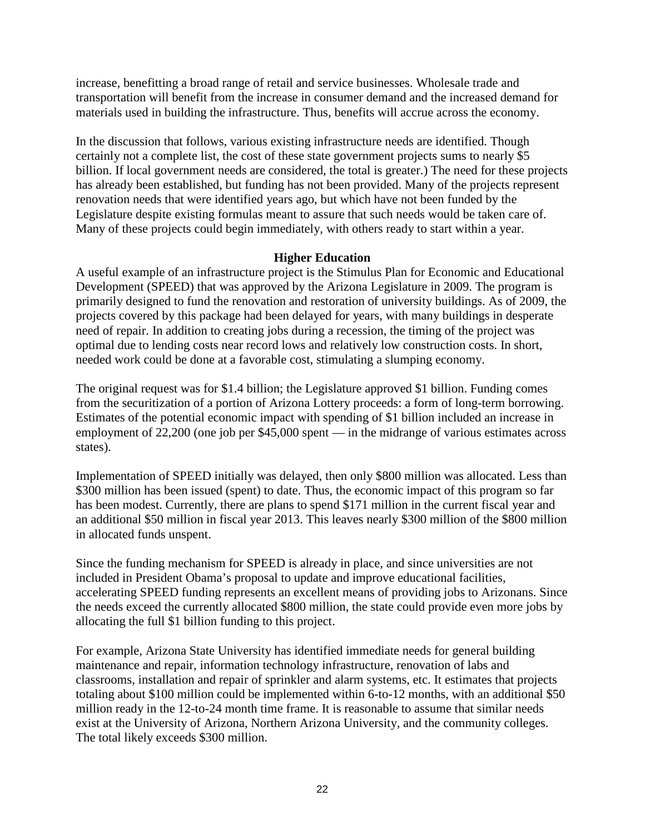increase, benefitting a broad range of retail and service businesses. Wholesale trade and transportation will benefit from the increase in consumer demand and the increased demand for materials used in building the infrastructure. Thus, benefits will accrue across the economy.

In the discussion that follows, various existing infrastructure needs are identified. Though certainly not a complete list, the cost of these state government projects sums to nearly \$5 billion. If local government needs are considered, the total is greater.) The need for these projects has already been established, but funding has not been provided. Many of the projects represent renovation needs that were identified years ago, but which have not been funded by the Legislature despite existing formulas meant to assure that such needs would be taken care of. Many of these projects could begin immediately, with others ready to start within a year.

# **Higher Education**

A useful example of an infrastructure project is the Stimulus Plan for Economic and Educational Development (SPEED) that was approved by the Arizona Legislature in 2009. The program is primarily designed to fund the renovation and restoration of university buildings. As of 2009, the projects covered by this package had been delayed for years, with many buildings in desperate need of repair. In addition to creating jobs during a recession, the timing of the project was optimal due to lending costs near record lows and relatively low construction costs. In short, needed work could be done at a favorable cost, stimulating a slumping economy.

The original request was for \$1.4 billion; the Legislature approved \$1 billion. Funding comes from the securitization of a portion of Arizona Lottery proceeds: a form of long-term borrowing. Estimates of the potential economic impact with spending of \$1 billion included an increase in employment of 22,200 (one job per \$45,000 spent — in the midrange of various estimates across states).

Implementation of SPEED initially was delayed, then only \$800 million was allocated. Less than \$300 million has been issued (spent) to date. Thus, the economic impact of this program so far has been modest. Currently, there are plans to spend \$171 million in the current fiscal year and an additional \$50 million in fiscal year 2013. This leaves nearly \$300 million of the \$800 million in allocated funds unspent.

Since the funding mechanism for SPEED is already in place, and since universities are not included in President Obama's proposal to update and improve educational facilities, accelerating SPEED funding represents an excellent means of providing jobs to Arizonans. Since the needs exceed the currently allocated \$800 million, the state could provide even more jobs by allocating the full \$1 billion funding to this project.

For example, Arizona State University has identified immediate needs for general building maintenance and repair, information technology infrastructure, renovation of labs and classrooms, installation and repair of sprinkler and alarm systems, etc. It estimates that projects totaling about \$100 million could be implemented within 6-to-12 months, with an additional \$50 million ready in the 12-to-24 month time frame. It is reasonable to assume that similar needs exist at the University of Arizona, Northern Arizona University, and the community colleges. The total likely exceeds \$300 million.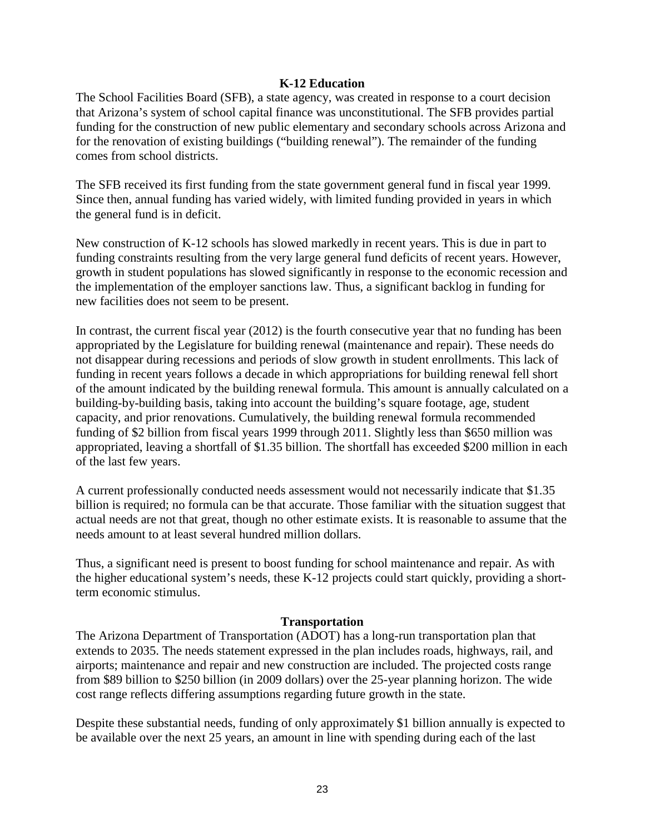#### **K-12 Education**

The School Facilities Board (SFB), a state agency, was created in response to a court decision that Arizona's system of school capital finance was unconstitutional. The SFB provides partial funding for the construction of new public elementary and secondary schools across Arizona and for the renovation of existing buildings ("building renewal"). The remainder of the funding comes from school districts.

The SFB received its first funding from the state government general fund in fiscal year 1999. Since then, annual funding has varied widely, with limited funding provided in years in which the general fund is in deficit.

New construction of K-12 schools has slowed markedly in recent years. This is due in part to funding constraints resulting from the very large general fund deficits of recent years. However, growth in student populations has slowed significantly in response to the economic recession and the implementation of the employer sanctions law. Thus, a significant backlog in funding for new facilities does not seem to be present.

In contrast, the current fiscal year (2012) is the fourth consecutive year that no funding has been appropriated by the Legislature for building renewal (maintenance and repair). These needs do not disappear during recessions and periods of slow growth in student enrollments. This lack of funding in recent years follows a decade in which appropriations for building renewal fell short of the amount indicated by the building renewal formula. This amount is annually calculated on a building-by-building basis, taking into account the building's square footage, age, student capacity, and prior renovations. Cumulatively, the building renewal formula recommended funding of \$2 billion from fiscal years 1999 through 2011. Slightly less than \$650 million was appropriated, leaving a shortfall of \$1.35 billion. The shortfall has exceeded \$200 million in each of the last few years.

A current professionally conducted needs assessment would not necessarily indicate that \$1.35 billion is required; no formula can be that accurate. Those familiar with the situation suggest that actual needs are not that great, though no other estimate exists. It is reasonable to assume that the needs amount to at least several hundred million dollars.

Thus, a significant need is present to boost funding for school maintenance and repair. As with the higher educational system's needs, these K-12 projects could start quickly, providing a shortterm economic stimulus.

#### **Transportation**

The Arizona Department of Transportation (ADOT) has a long-run transportation plan that extends to 2035. The needs statement expressed in the plan includes roads, highways, rail, and airports; maintenance and repair and new construction are included. The projected costs range from \$89 billion to \$250 billion (in 2009 dollars) over the 25-year planning horizon. The wide cost range reflects differing assumptions regarding future growth in the state.

Despite these substantial needs, funding of only approximately \$1 billion annually is expected to be available over the next 25 years, an amount in line with spending during each of the last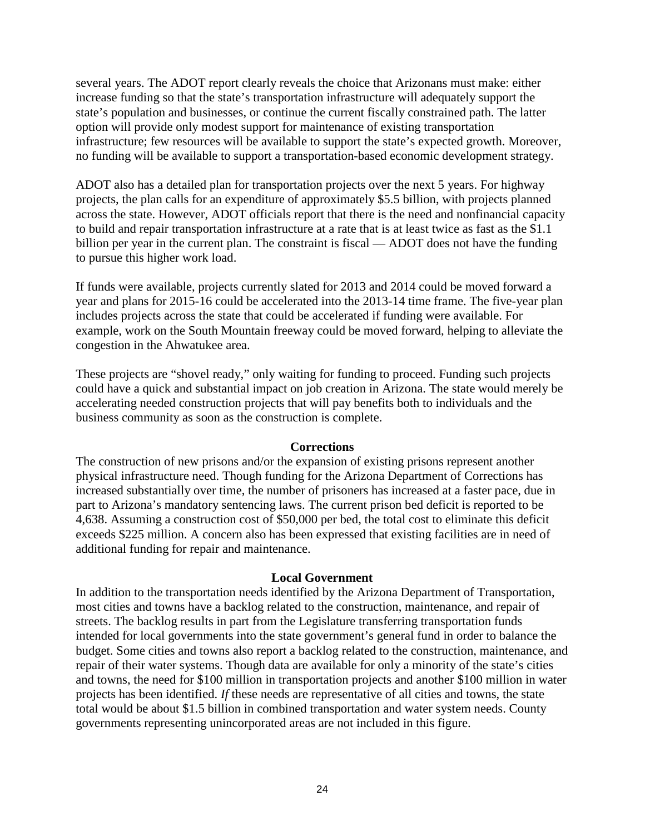several years. The ADOT report clearly reveals the choice that Arizonans must make: either increase funding so that the state's transportation infrastructure will adequately support the state's population and businesses, or continue the current fiscally constrained path. The latter option will provide only modest support for maintenance of existing transportation infrastructure; few resources will be available to support the state's expected growth. Moreover, no funding will be available to support a transportation-based economic development strategy.

ADOT also has a detailed plan for transportation projects over the next 5 years. For highway projects, the plan calls for an expenditure of approximately \$5.5 billion, with projects planned across the state. However, ADOT officials report that there is the need and nonfinancial capacity to build and repair transportation infrastructure at a rate that is at least twice as fast as the \$1.1 billion per year in the current plan. The constraint is fiscal — ADOT does not have the funding to pursue this higher work load.

If funds were available, projects currently slated for 2013 and 2014 could be moved forward a year and plans for 2015-16 could be accelerated into the 2013-14 time frame. The five-year plan includes projects across the state that could be accelerated if funding were available. For example, work on the South Mountain freeway could be moved forward, helping to alleviate the congestion in the Ahwatukee area.

These projects are "shovel ready," only waiting for funding to proceed. Funding such projects could have a quick and substantial impact on job creation in Arizona. The state would merely be accelerating needed construction projects that will pay benefits both to individuals and the business community as soon as the construction is complete.

#### **Corrections**

The construction of new prisons and/or the expansion of existing prisons represent another physical infrastructure need. Though funding for the Arizona Department of Corrections has increased substantially over time, the number of prisoners has increased at a faster pace, due in part to Arizona's mandatory sentencing laws. The current prison bed deficit is reported to be 4,638. Assuming a construction cost of \$50,000 per bed, the total cost to eliminate this deficit exceeds \$225 million. A concern also has been expressed that existing facilities are in need of additional funding for repair and maintenance.

#### **Local Government**

In addition to the transportation needs identified by the Arizona Department of Transportation, most cities and towns have a backlog related to the construction, maintenance, and repair of streets. The backlog results in part from the Legislature transferring transportation funds intended for local governments into the state government's general fund in order to balance the budget. Some cities and towns also report a backlog related to the construction, maintenance, and repair of their water systems. Though data are available for only a minority of the state's cities and towns, the need for \$100 million in transportation projects and another \$100 million in water projects has been identified. *If* these needs are representative of all cities and towns, the state total would be about \$1.5 billion in combined transportation and water system needs. County governments representing unincorporated areas are not included in this figure.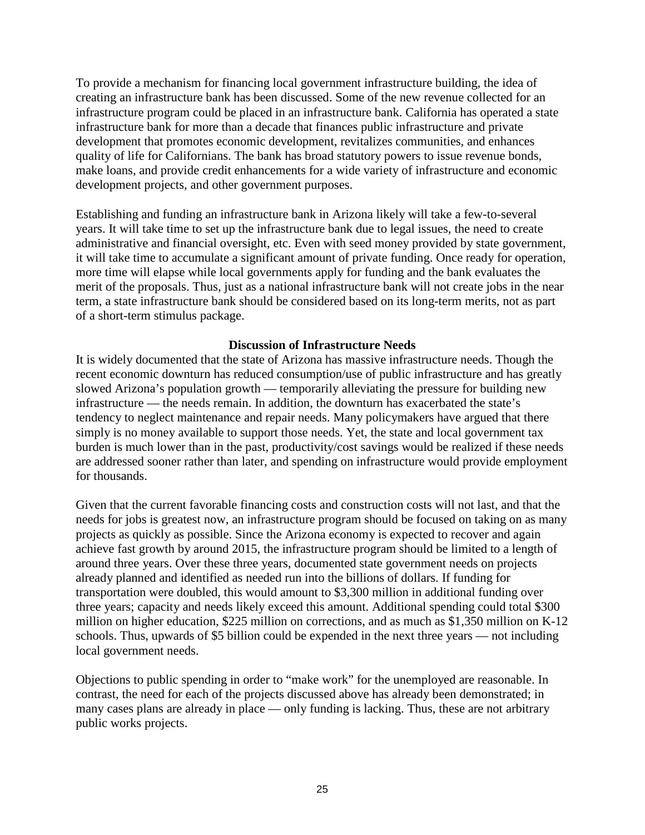To provide a mechanism for financing local government infrastructure building, the idea of creating an infrastructure bank has been discussed. Some of the new revenue collected for an infrastructure program could be placed in an infrastructure bank. California has operated a state infrastructure bank for more than a decade that finances public infrastructure and private development that promotes economic development, revitalizes communities, and enhances quality of life for Californians. The bank has broad statutory powers to issue revenue bonds, make loans, and provide credit enhancements for a wide variety of infrastructure and economic development projects, and other government purposes.

Establishing and funding an infrastructure bank in Arizona likely will take a few-to-several years. It will take time to set up the infrastructure bank due to legal issues, the need to create administrative and financial oversight, etc. Even with seed money provided by state government, it will take time to accumulate a significant amount of private funding. Once ready for operation, more time will elapse while local governments apply for funding and the bank evaluates the merit of the proposals. Thus, just as a national infrastructure bank will not create jobs in the near term, a state infrastructure bank should be considered based on its long-term merits, not as part of a short-term stimulus package.

# **Discussion of Infrastructure Needs**

It is widely documented that the state of Arizona has massive infrastructure needs. Though the recent economic downturn has reduced consumption/use of public infrastructure and has greatly slowed Arizona's population growth — temporarily alleviating the pressure for building new infrastructure — the needs remain. In addition, the downturn has exacerbated the state's tendency to neglect maintenance and repair needs. Many policymakers have argued that there simply is no money available to support those needs. Yet, the state and local government tax burden is much lower than in the past, productivity/cost savings would be realized if these needs are addressed sooner rather than later, and spending on infrastructure would provide employment for thousands.

Given that the current favorable financing costs and construction costs will not last, and that the needs for jobs is greatest now, an infrastructure program should be focused on taking on as many projects as quickly as possible. Since the Arizona economy is expected to recover and again achieve fast growth by around 2015, the infrastructure program should be limited to a length of around three years. Over these three years, documented state government needs on projects already planned and identified as needed run into the billions of dollars. If funding for transportation were doubled, this would amount to \$3,300 million in additional funding over three years; capacity and needs likely exceed this amount. Additional spending could total \$300 million on higher education, \$225 million on corrections, and as much as \$1,350 million on K-12 schools. Thus, upwards of \$5 billion could be expended in the next three years — not including local government needs.

Objections to public spending in order to "make work" for the unemployed are reasonable. In contrast, the need for each of the projects discussed above has already been demonstrated; in many cases plans are already in place — only funding is lacking. Thus, these are not arbitrary public works projects.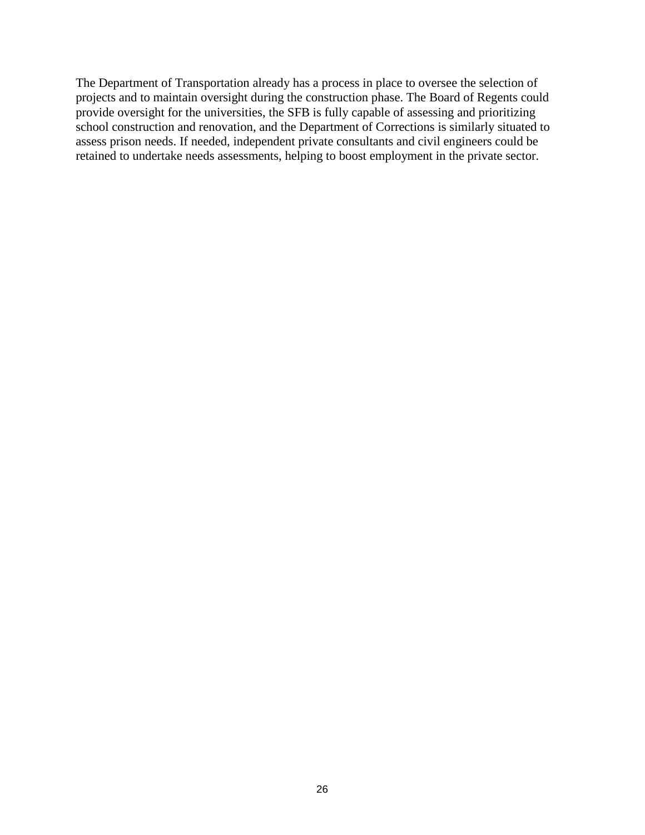The Department of Transportation already has a process in place to oversee the selection of projects and to maintain oversight during the construction phase. The Board of Regents could provide oversight for the universities, the SFB is fully capable of assessing and prioritizing school construction and renovation, and the Department of Corrections is similarly situated to assess prison needs. If needed, independent private consultants and civil engineers could be retained to undertake needs assessments, helping to boost employment in the private sector.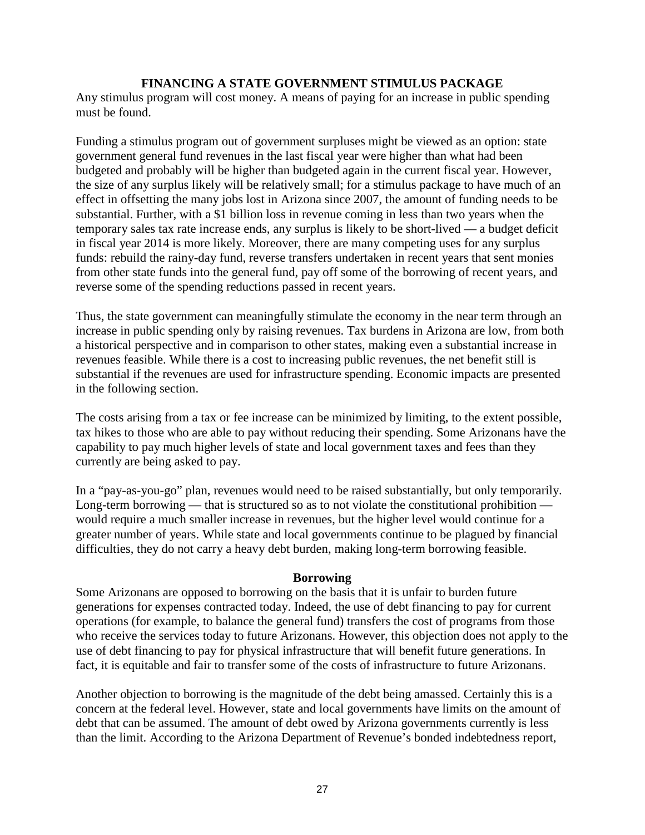# **FINANCING A STATE GOVERNMENT STIMULUS PACKAGE**

Any stimulus program will cost money. A means of paying for an increase in public spending must be found.

Funding a stimulus program out of government surpluses might be viewed as an option: state government general fund revenues in the last fiscal year were higher than what had been budgeted and probably will be higher than budgeted again in the current fiscal year. However, the size of any surplus likely will be relatively small; for a stimulus package to have much of an effect in offsetting the many jobs lost in Arizona since 2007, the amount of funding needs to be substantial. Further, with a \$1 billion loss in revenue coming in less than two years when the temporary sales tax rate increase ends, any surplus is likely to be short-lived — a budget deficit in fiscal year 2014 is more likely. Moreover, there are many competing uses for any surplus funds: rebuild the rainy-day fund, reverse transfers undertaken in recent years that sent monies from other state funds into the general fund, pay off some of the borrowing of recent years, and reverse some of the spending reductions passed in recent years.

Thus, the state government can meaningfully stimulate the economy in the near term through an increase in public spending only by raising revenues. Tax burdens in Arizona are low, from both a historical perspective and in comparison to other states, making even a substantial increase in revenues feasible. While there is a cost to increasing public revenues, the net benefit still is substantial if the revenues are used for infrastructure spending. Economic impacts are presented in the following section.

The costs arising from a tax or fee increase can be minimized by limiting, to the extent possible, tax hikes to those who are able to pay without reducing their spending. Some Arizonans have the capability to pay much higher levels of state and local government taxes and fees than they currently are being asked to pay.

In a "pay-as-you-go" plan, revenues would need to be raised substantially, but only temporarily. Long-term borrowing — that is structured so as to not violate the constitutional prohibition would require a much smaller increase in revenues, but the higher level would continue for a greater number of years. While state and local governments continue to be plagued by financial difficulties, they do not carry a heavy debt burden, making long-term borrowing feasible.

# **Borrowing**

Some Arizonans are opposed to borrowing on the basis that it is unfair to burden future generations for expenses contracted today. Indeed, the use of debt financing to pay for current operations (for example, to balance the general fund) transfers the cost of programs from those who receive the services today to future Arizonans. However, this objection does not apply to the use of debt financing to pay for physical infrastructure that will benefit future generations. In fact, it is equitable and fair to transfer some of the costs of infrastructure to future Arizonans.

Another objection to borrowing is the magnitude of the debt being amassed. Certainly this is a concern at the federal level. However, state and local governments have limits on the amount of debt that can be assumed. The amount of debt owed by Arizona governments currently is less than the limit. According to the Arizona Department of Revenue's bonded indebtedness report,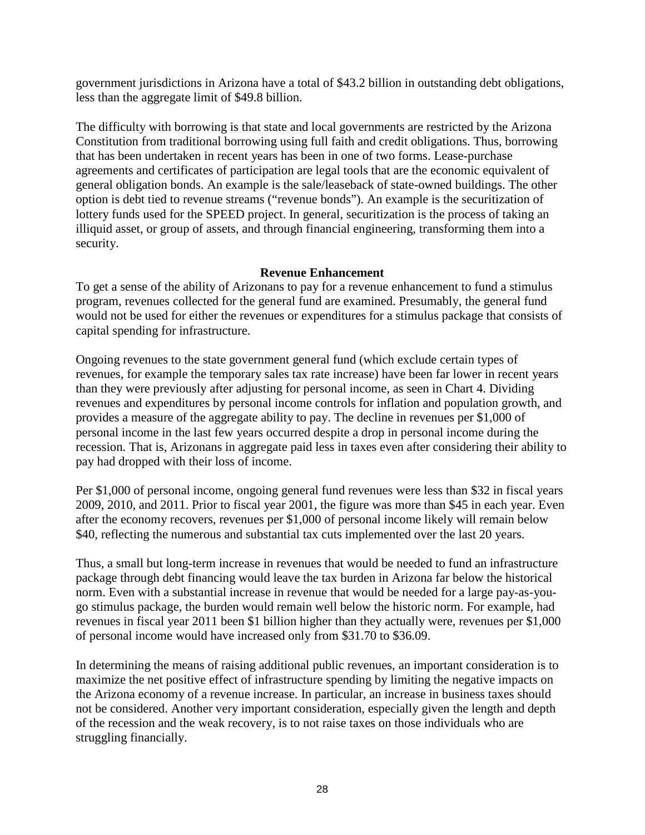government jurisdictions in Arizona have a total of \$43.2 billion in outstanding debt obligations, less than the aggregate limit of \$49.8 billion.

The difficulty with borrowing is that state and local governments are restricted by the Arizona Constitution from traditional borrowing using full faith and credit obligations. Thus, borrowing that has been undertaken in recent years has been in one of two forms. Lease-purchase agreements and certificates of participation are legal tools that are the economic equivalent of general obligation bonds. An example is the sale/leaseback of state-owned buildings. The other option is debt tied to revenue streams ("revenue bonds"). An example is the securitization of lottery funds used for the SPEED project. In general, securitization is the process of taking an illiquid asset, or group of assets, and through financial engineering, transforming them into a security.

# **Revenue Enhancement**

To get a sense of the ability of Arizonans to pay for a revenue enhancement to fund a stimulus program, revenues collected for the general fund are examined. Presumably, the general fund would not be used for either the revenues or expenditures for a stimulus package that consists of capital spending for infrastructure.

Ongoing revenues to the state government general fund (which exclude certain types of revenues, for example the temporary sales tax rate increase) have been far lower in recent years than they were previously after adjusting for personal income, as seen in Chart 4. Dividing revenues and expenditures by personal income controls for inflation and population growth, and provides a measure of the aggregate ability to pay. The decline in revenues per \$1,000 of personal income in the last few years occurred despite a drop in personal income during the recession. That is, Arizonans in aggregate paid less in taxes even after considering their ability to pay had dropped with their loss of income.

Per \$1,000 of personal income, ongoing general fund revenues were less than \$32 in fiscal years 2009, 2010, and 2011. Prior to fiscal year 2001, the figure was more than \$45 in each year. Even after the economy recovers, revenues per \$1,000 of personal income likely will remain below \$40, reflecting the numerous and substantial tax cuts implemented over the last 20 years.

Thus, a small but long-term increase in revenues that would be needed to fund an infrastructure package through debt financing would leave the tax burden in Arizona far below the historical norm. Even with a substantial increase in revenue that would be needed for a large pay-as-yougo stimulus package, the burden would remain well below the historic norm. For example, had revenues in fiscal year 2011 been \$1 billion higher than they actually were, revenues per \$1,000 of personal income would have increased only from \$31.70 to \$36.09.

In determining the means of raising additional public revenues, an important consideration is to maximize the net positive effect of infrastructure spending by limiting the negative impacts on the Arizona economy of a revenue increase. In particular, an increase in business taxes should not be considered. Another very important consideration, especially given the length and depth of the recession and the weak recovery, is to not raise taxes on those individuals who are struggling financially.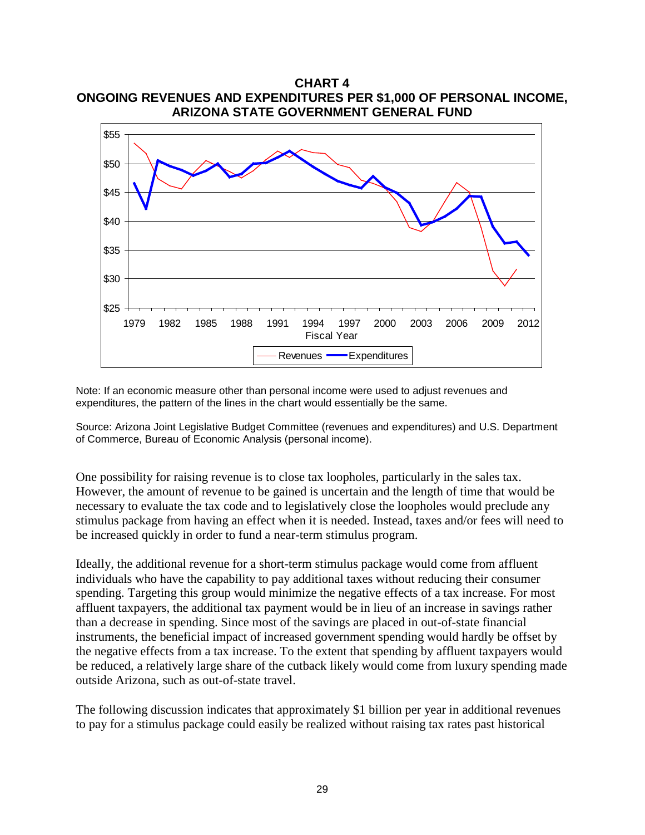

Note: If an economic measure other than personal income were used to adjust revenues and expenditures, the pattern of the lines in the chart would essentially be the same.

Source: Arizona Joint Legislative Budget Committee (revenues and expenditures) and U.S. Department of Commerce, Bureau of Economic Analysis (personal income).

One possibility for raising revenue is to close tax loopholes, particularly in the sales tax. However, the amount of revenue to be gained is uncertain and the length of time that would be necessary to evaluate the tax code and to legislatively close the loopholes would preclude any stimulus package from having an effect when it is needed. Instead, taxes and/or fees will need to be increased quickly in order to fund a near-term stimulus program.

Ideally, the additional revenue for a short-term stimulus package would come from affluent individuals who have the capability to pay additional taxes without reducing their consumer spending. Targeting this group would minimize the negative effects of a tax increase. For most affluent taxpayers, the additional tax payment would be in lieu of an increase in savings rather than a decrease in spending. Since most of the savings are placed in out-of-state financial instruments, the beneficial impact of increased government spending would hardly be offset by the negative effects from a tax increase. To the extent that spending by affluent taxpayers would be reduced, a relatively large share of the cutback likely would come from luxury spending made outside Arizona, such as out-of-state travel.

The following discussion indicates that approximately \$1 billion per year in additional revenues to pay for a stimulus package could easily be realized without raising tax rates past historical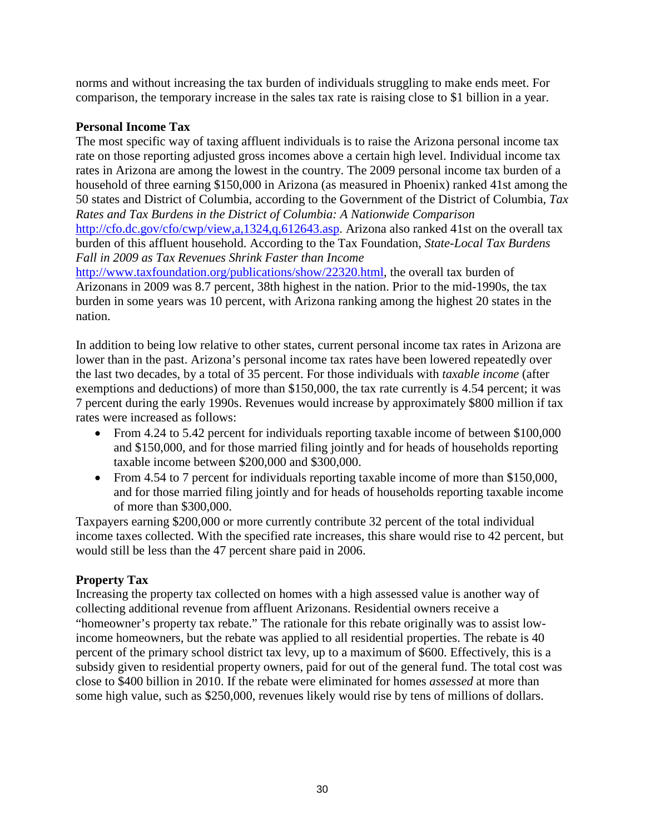norms and without increasing the tax burden of individuals struggling to make ends meet. For comparison, the temporary increase in the sales tax rate is raising close to \$1 billion in a year.

# **Personal Income Tax**

The most specific way of taxing affluent individuals is to raise the Arizona personal income tax rate on those reporting adjusted gross incomes above a certain high level. Individual income tax rates in Arizona are among the lowest in the country. The 2009 personal income tax burden of a household of three earning \$150,000 in Arizona (as measured in Phoenix) ranked 41st among the 50 states and District of Columbia, according to the Government of the District of Columbia, *Tax Rates and Tax Burdens in the District of Columbia: A Nationwide Comparison* [http://cfo.dc.gov/cfo/cwp/view,a,1324,q,612643.asp.](http://cfo.dc.gov/cfo/cwp/view,a,1324,q,612643.asp) Arizona also ranked 41st on the overall tax burden of this affluent household. According to the Tax Foundation, *State-Local Tax Burdens Fall in 2009 as Tax Revenues Shrink Faster than Income*

[http://www.taxfoundation.org/publications/show/22320.html,](http://www.taxfoundation.org/publications/show/22320.html) the overall tax burden of Arizonans in 2009 was 8.7 percent, 38th highest in the nation. Prior to the mid-1990s, the tax burden in some years was 10 percent, with Arizona ranking among the highest 20 states in the nation.

In addition to being low relative to other states, current personal income tax rates in Arizona are lower than in the past. Arizona's personal income tax rates have been lowered repeatedly over the last two decades, by a total of 35 percent. For those individuals with *taxable income* (after exemptions and deductions) of more than \$150,000, the tax rate currently is 4.54 percent; it was 7 percent during the early 1990s. Revenues would increase by approximately \$800 million if tax rates were increased as follows:

- From 4.24 to 5.42 percent for individuals reporting taxable income of between \$100,000 and \$150,000, and for those married filing jointly and for heads of households reporting taxable income between \$200,000 and \$300,000.
- From 4.54 to 7 percent for individuals reporting taxable income of more than \$150,000, and for those married filing jointly and for heads of households reporting taxable income of more than \$300,000.

Taxpayers earning \$200,000 or more currently contribute 32 percent of the total individual income taxes collected. With the specified rate increases, this share would rise to 42 percent, but would still be less than the 47 percent share paid in 2006.

# **Property Tax**

Increasing the property tax collected on homes with a high assessed value is another way of collecting additional revenue from affluent Arizonans. Residential owners receive a "homeowner's property tax rebate." The rationale for this rebate originally was to assist lowincome homeowners, but the rebate was applied to all residential properties. The rebate is 40 percent of the primary school district tax levy, up to a maximum of \$600. Effectively, this is a subsidy given to residential property owners, paid for out of the general fund. The total cost was close to \$400 billion in 2010. If the rebate were eliminated for homes *assessed* at more than some high value, such as \$250,000, revenues likely would rise by tens of millions of dollars.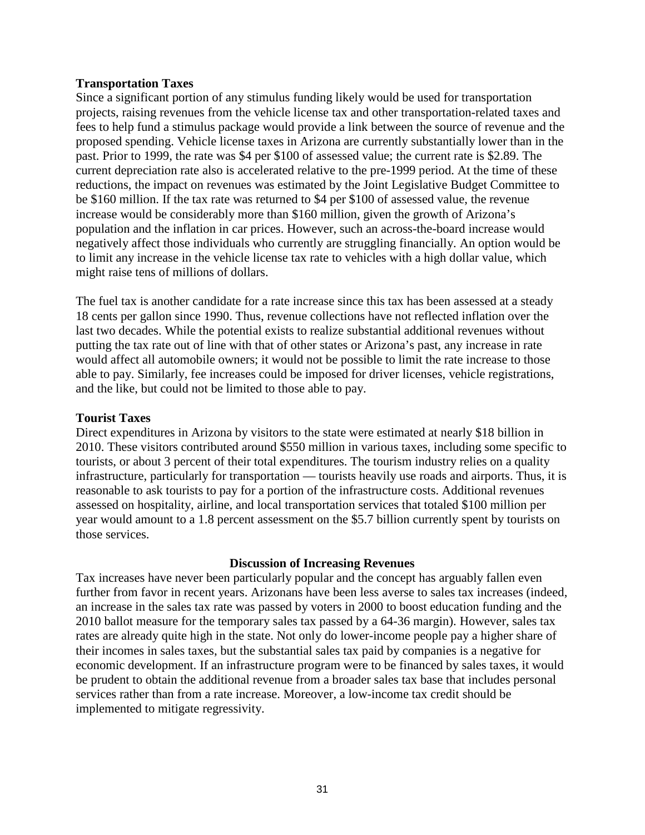#### **Transportation Taxes**

Since a significant portion of any stimulus funding likely would be used for transportation projects, raising revenues from the vehicle license tax and other transportation-related taxes and fees to help fund a stimulus package would provide a link between the source of revenue and the proposed spending. Vehicle license taxes in Arizona are currently substantially lower than in the past. Prior to 1999, the rate was \$4 per \$100 of assessed value; the current rate is \$2.89. The current depreciation rate also is accelerated relative to the pre-1999 period. At the time of these reductions, the impact on revenues was estimated by the Joint Legislative Budget Committee to be \$160 million. If the tax rate was returned to \$4 per \$100 of assessed value, the revenue increase would be considerably more than \$160 million, given the growth of Arizona's population and the inflation in car prices. However, such an across-the-board increase would negatively affect those individuals who currently are struggling financially. An option would be to limit any increase in the vehicle license tax rate to vehicles with a high dollar value, which might raise tens of millions of dollars.

The fuel tax is another candidate for a rate increase since this tax has been assessed at a steady 18 cents per gallon since 1990. Thus, revenue collections have not reflected inflation over the last two decades. While the potential exists to realize substantial additional revenues without putting the tax rate out of line with that of other states or Arizona's past, any increase in rate would affect all automobile owners; it would not be possible to limit the rate increase to those able to pay. Similarly, fee increases could be imposed for driver licenses, vehicle registrations, and the like, but could not be limited to those able to pay.

#### **Tourist Taxes**

Direct expenditures in Arizona by visitors to the state were estimated at nearly \$18 billion in 2010. These visitors contributed around \$550 million in various taxes, including some specific to tourists, or about 3 percent of their total expenditures. The tourism industry relies on a quality infrastructure, particularly for transportation — tourists heavily use roads and airports. Thus, it is reasonable to ask tourists to pay for a portion of the infrastructure costs. Additional revenues assessed on hospitality, airline, and local transportation services that totaled \$100 million per year would amount to a 1.8 percent assessment on the \$5.7 billion currently spent by tourists on those services.

#### **Discussion of Increasing Revenues**

Tax increases have never been particularly popular and the concept has arguably fallen even further from favor in recent years. Arizonans have been less averse to sales tax increases (indeed, an increase in the sales tax rate was passed by voters in 2000 to boost education funding and the 2010 ballot measure for the temporary sales tax passed by a 64-36 margin). However, sales tax rates are already quite high in the state. Not only do lower-income people pay a higher share of their incomes in sales taxes, but the substantial sales tax paid by companies is a negative for economic development. If an infrastructure program were to be financed by sales taxes, it would be prudent to obtain the additional revenue from a broader sales tax base that includes personal services rather than from a rate increase. Moreover, a low-income tax credit should be implemented to mitigate regressivity.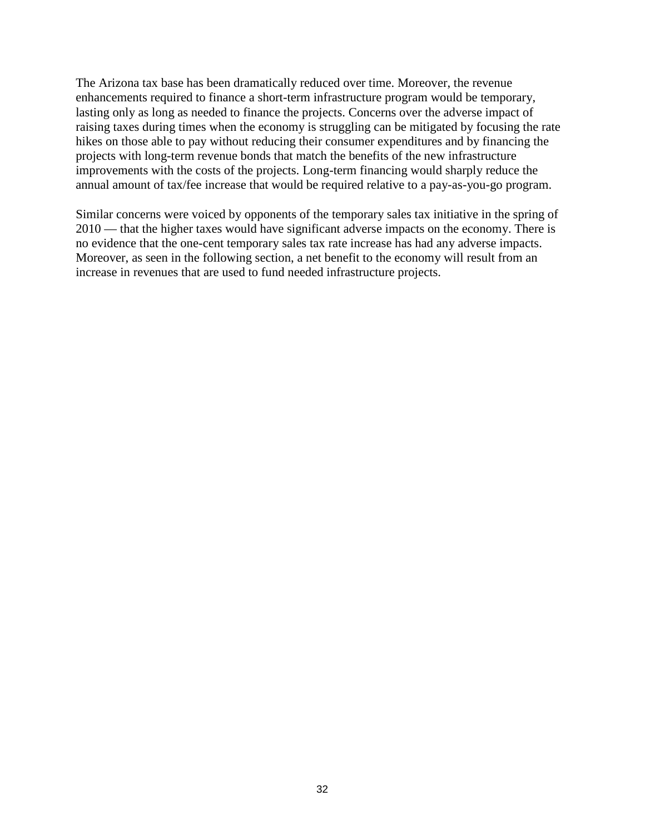The Arizona tax base has been dramatically reduced over time. Moreover, the revenue enhancements required to finance a short-term infrastructure program would be temporary, lasting only as long as needed to finance the projects. Concerns over the adverse impact of raising taxes during times when the economy is struggling can be mitigated by focusing the rate hikes on those able to pay without reducing their consumer expenditures and by financing the projects with long-term revenue bonds that match the benefits of the new infrastructure improvements with the costs of the projects. Long-term financing would sharply reduce the annual amount of tax/fee increase that would be required relative to a pay-as-you-go program.

Similar concerns were voiced by opponents of the temporary sales tax initiative in the spring of 2010 — that the higher taxes would have significant adverse impacts on the economy. There is no evidence that the one-cent temporary sales tax rate increase has had any adverse impacts. Moreover, as seen in the following section, a net benefit to the economy will result from an increase in revenues that are used to fund needed infrastructure projects.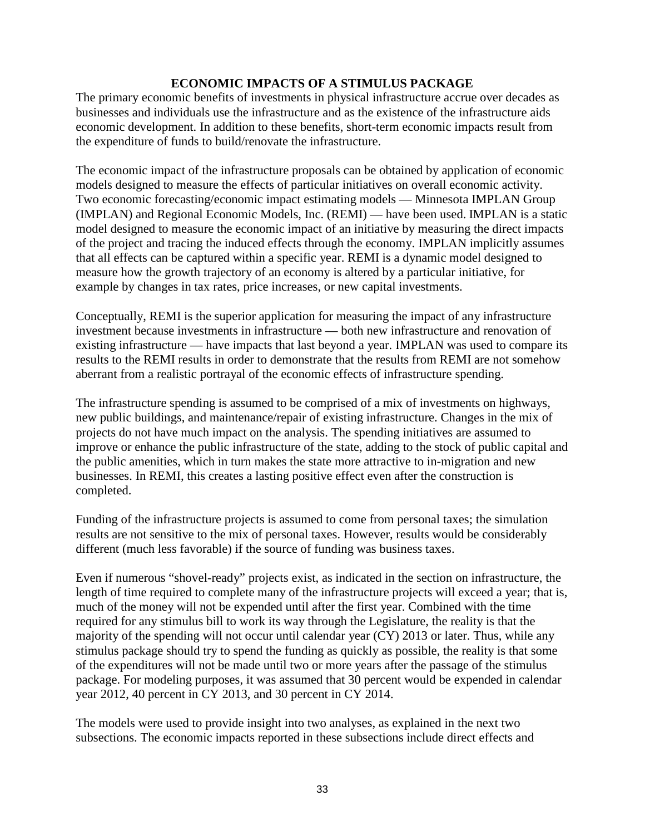# **ECONOMIC IMPACTS OF A STIMULUS PACKAGE**

The primary economic benefits of investments in physical infrastructure accrue over decades as businesses and individuals use the infrastructure and as the existence of the infrastructure aids economic development. In addition to these benefits, short-term economic impacts result from the expenditure of funds to build/renovate the infrastructure.

The economic impact of the infrastructure proposals can be obtained by application of economic models designed to measure the effects of particular initiatives on overall economic activity. Two economic forecasting/economic impact estimating models — Minnesota IMPLAN Group (IMPLAN) and Regional Economic Models, Inc. (REMI) — have been used. IMPLAN is a static model designed to measure the economic impact of an initiative by measuring the direct impacts of the project and tracing the induced effects through the economy. IMPLAN implicitly assumes that all effects can be captured within a specific year. REMI is a dynamic model designed to measure how the growth trajectory of an economy is altered by a particular initiative, for example by changes in tax rates, price increases, or new capital investments.

Conceptually, REMI is the superior application for measuring the impact of any infrastructure investment because investments in infrastructure — both new infrastructure and renovation of existing infrastructure — have impacts that last beyond a year. IMPLAN was used to compare its results to the REMI results in order to demonstrate that the results from REMI are not somehow aberrant from a realistic portrayal of the economic effects of infrastructure spending.

The infrastructure spending is assumed to be comprised of a mix of investments on highways, new public buildings, and maintenance/repair of existing infrastructure. Changes in the mix of projects do not have much impact on the analysis. The spending initiatives are assumed to improve or enhance the public infrastructure of the state, adding to the stock of public capital and the public amenities, which in turn makes the state more attractive to in-migration and new businesses. In REMI, this creates a lasting positive effect even after the construction is completed.

Funding of the infrastructure projects is assumed to come from personal taxes; the simulation results are not sensitive to the mix of personal taxes. However, results would be considerably different (much less favorable) if the source of funding was business taxes.

Even if numerous "shovel-ready" projects exist, as indicated in the section on infrastructure, the length of time required to complete many of the infrastructure projects will exceed a year; that is, much of the money will not be expended until after the first year. Combined with the time required for any stimulus bill to work its way through the Legislature, the reality is that the majority of the spending will not occur until calendar year (CY) 2013 or later. Thus, while any stimulus package should try to spend the funding as quickly as possible, the reality is that some of the expenditures will not be made until two or more years after the passage of the stimulus package. For modeling purposes, it was assumed that 30 percent would be expended in calendar year 2012, 40 percent in CY 2013, and 30 percent in CY 2014.

The models were used to provide insight into two analyses, as explained in the next two subsections. The economic impacts reported in these subsections include direct effects and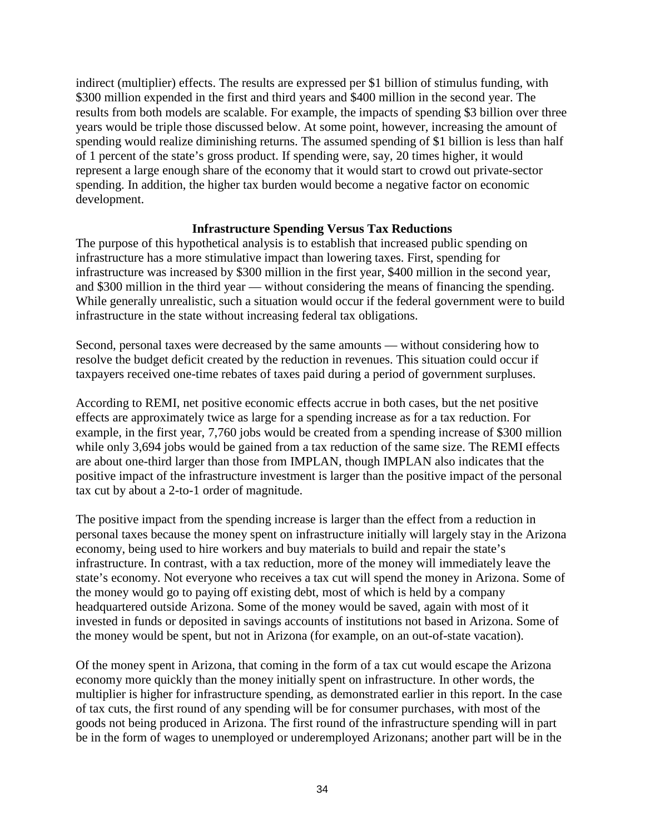indirect (multiplier) effects. The results are expressed per \$1 billion of stimulus funding, with \$300 million expended in the first and third years and \$400 million in the second year. The results from both models are scalable. For example, the impacts of spending \$3 billion over three years would be triple those discussed below. At some point, however, increasing the amount of spending would realize diminishing returns. The assumed spending of \$1 billion is less than half of 1 percent of the state's gross product. If spending were, say, 20 times higher, it would represent a large enough share of the economy that it would start to crowd out private-sector spending. In addition, the higher tax burden would become a negative factor on economic development.

# **Infrastructure Spending Versus Tax Reductions**

The purpose of this hypothetical analysis is to establish that increased public spending on infrastructure has a more stimulative impact than lowering taxes. First, spending for infrastructure was increased by \$300 million in the first year, \$400 million in the second year, and \$300 million in the third year — without considering the means of financing the spending. While generally unrealistic, such a situation would occur if the federal government were to build infrastructure in the state without increasing federal tax obligations.

Second, personal taxes were decreased by the same amounts — without considering how to resolve the budget deficit created by the reduction in revenues. This situation could occur if taxpayers received one-time rebates of taxes paid during a period of government surpluses.

According to REMI, net positive economic effects accrue in both cases, but the net positive effects are approximately twice as large for a spending increase as for a tax reduction. For example, in the first year, 7,760 jobs would be created from a spending increase of \$300 million while only 3,694 jobs would be gained from a tax reduction of the same size. The REMI effects are about one-third larger than those from IMPLAN, though IMPLAN also indicates that the positive impact of the infrastructure investment is larger than the positive impact of the personal tax cut by about a 2-to-1 order of magnitude.

The positive impact from the spending increase is larger than the effect from a reduction in personal taxes because the money spent on infrastructure initially will largely stay in the Arizona economy, being used to hire workers and buy materials to build and repair the state's infrastructure. In contrast, with a tax reduction, more of the money will immediately leave the state's economy. Not everyone who receives a tax cut will spend the money in Arizona. Some of the money would go to paying off existing debt, most of which is held by a company headquartered outside Arizona. Some of the money would be saved, again with most of it invested in funds or deposited in savings accounts of institutions not based in Arizona. Some of the money would be spent, but not in Arizona (for example, on an out-of-state vacation).

Of the money spent in Arizona, that coming in the form of a tax cut would escape the Arizona economy more quickly than the money initially spent on infrastructure. In other words, the multiplier is higher for infrastructure spending, as demonstrated earlier in this report. In the case of tax cuts, the first round of any spending will be for consumer purchases, with most of the goods not being produced in Arizona. The first round of the infrastructure spending will in part be in the form of wages to unemployed or underemployed Arizonans; another part will be in the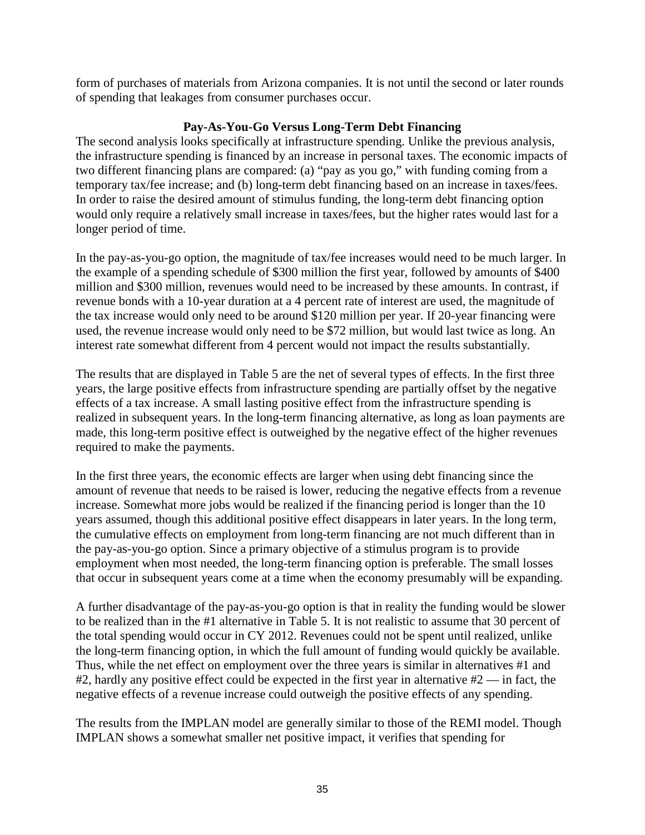form of purchases of materials from Arizona companies. It is not until the second or later rounds of spending that leakages from consumer purchases occur.

# **Pay-As-You-Go Versus Long-Term Debt Financing**

The second analysis looks specifically at infrastructure spending. Unlike the previous analysis, the infrastructure spending is financed by an increase in personal taxes. The economic impacts of two different financing plans are compared: (a) "pay as you go," with funding coming from a temporary tax/fee increase; and (b) long-term debt financing based on an increase in taxes/fees. In order to raise the desired amount of stimulus funding, the long-term debt financing option would only require a relatively small increase in taxes/fees, but the higher rates would last for a longer period of time.

In the pay-as-you-go option, the magnitude of tax/fee increases would need to be much larger. In the example of a spending schedule of \$300 million the first year, followed by amounts of \$400 million and \$300 million, revenues would need to be increased by these amounts. In contrast, if revenue bonds with a 10-year duration at a 4 percent rate of interest are used, the magnitude of the tax increase would only need to be around \$120 million per year. If 20-year financing were used, the revenue increase would only need to be \$72 million, but would last twice as long. An interest rate somewhat different from 4 percent would not impact the results substantially.

The results that are displayed in Table 5 are the net of several types of effects. In the first three years, the large positive effects from infrastructure spending are partially offset by the negative effects of a tax increase. A small lasting positive effect from the infrastructure spending is realized in subsequent years. In the long-term financing alternative, as long as loan payments are made, this long-term positive effect is outweighed by the negative effect of the higher revenues required to make the payments.

In the first three years, the economic effects are larger when using debt financing since the amount of revenue that needs to be raised is lower, reducing the negative effects from a revenue increase. Somewhat more jobs would be realized if the financing period is longer than the 10 years assumed, though this additional positive effect disappears in later years. In the long term, the cumulative effects on employment from long-term financing are not much different than in the pay-as-you-go option. Since a primary objective of a stimulus program is to provide employment when most needed, the long-term financing option is preferable. The small losses that occur in subsequent years come at a time when the economy presumably will be expanding.

A further disadvantage of the pay-as-you-go option is that in reality the funding would be slower to be realized than in the #1 alternative in Table 5. It is not realistic to assume that 30 percent of the total spending would occur in CY 2012. Revenues could not be spent until realized, unlike the long-term financing option, in which the full amount of funding would quickly be available. Thus, while the net effect on employment over the three years is similar in alternatives #1 and  $#2$ , hardly any positive effect could be expected in the first year in alternative  $#2$  — in fact, the negative effects of a revenue increase could outweigh the positive effects of any spending.

The results from the IMPLAN model are generally similar to those of the REMI model. Though IMPLAN shows a somewhat smaller net positive impact, it verifies that spending for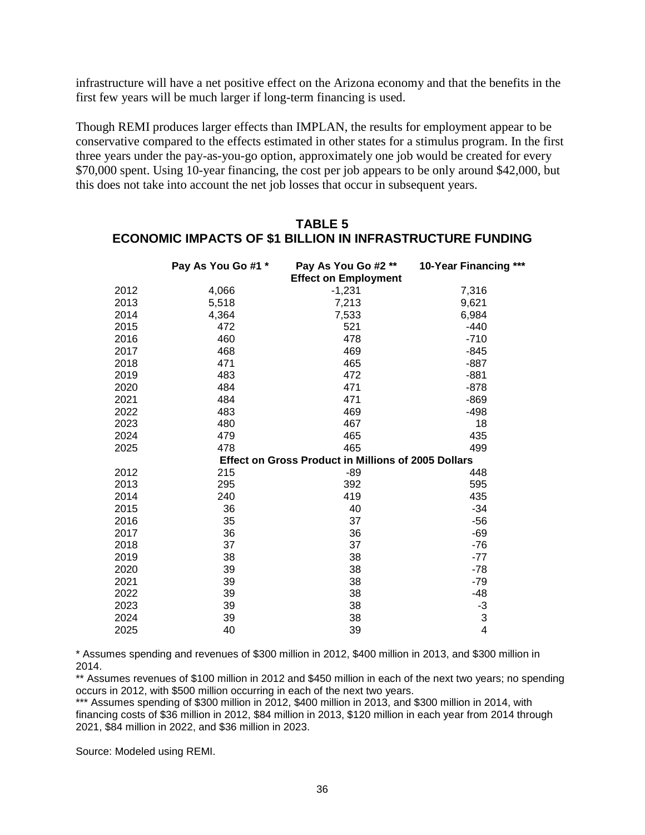infrastructure will have a net positive effect on the Arizona economy and that the benefits in the first few years will be much larger if long-term financing is used.

Though REMI produces larger effects than IMPLAN, the results for employment appear to be conservative compared to the effects estimated in other states for a stimulus program. In the first three years under the pay-as-you-go option, approximately one job would be created for every \$70,000 spent. Using 10-year financing, the cost per job appears to be only around \$42,000, but this does not take into account the net job losses that occur in subsequent years.

|      | Pay As You Go #1 * | Pay As You Go #2 **<br><b>Effect on Employment</b>  | 10-Year Financing *** |
|------|--------------------|-----------------------------------------------------|-----------------------|
| 2012 | 4,066              | $-1,231$                                            | 7,316                 |
| 2013 | 5,518              | 7,213                                               | 9,621                 |
| 2014 | 4,364              | 7,533                                               | 6,984                 |
| 2015 | 472                | 521                                                 | $-440$                |
| 2016 | 460                | 478                                                 | $-710$                |
| 2017 | 468                | 469                                                 | $-845$                |
| 2018 | 471                | 465                                                 | $-887$                |
| 2019 | 483                | 472                                                 | $-881$                |
| 2020 | 484                | 471                                                 | $-878$                |
| 2021 | 484                | 471                                                 | $-869$                |
| 2022 | 483                | 469                                                 | $-498$                |
| 2023 | 480                | 467                                                 | 18                    |
| 2024 | 479                | 465                                                 | 435                   |
| 2025 | 478                | 465                                                 | 499                   |
|      |                    | Effect on Gross Product in Millions of 2005 Dollars |                       |
| 2012 | 215                | $-89$                                               | 448                   |
| 2013 | 295                | 392                                                 | 595                   |
| 2014 | 240                | 419                                                 | 435                   |
| 2015 | 36                 | 40                                                  | $-34$                 |
| 2016 | 35                 | 37                                                  | $-56$                 |
| 2017 | 36                 | 36                                                  | $-69$                 |
| 2018 | 37                 | 37                                                  | $-76$                 |
| 2019 | 38                 | 38                                                  | $-77$                 |
| 2020 | 39                 | 38                                                  | $-78$                 |
| 2021 | 39                 | 38                                                  | $-79$                 |
| 2022 | 39                 | 38                                                  | $-48$                 |
| 2023 | 39                 | 38                                                  | -3                    |
| 2024 | 39                 | 38                                                  | 3                     |
| 2025 | 40                 | 39                                                  | 4                     |

# **TABLE 5 ECONOMIC IMPACTS OF \$1 BILLION IN INFRASTRUCTURE FUNDING**

\* Assumes spending and revenues of \$300 million in 2012, \$400 million in 2013, and \$300 million in 2014.

\*\* Assumes revenues of \$100 million in 2012 and \$450 million in each of the next two years; no spending occurs in 2012, with \$500 million occurring in each of the next two years.

\*\*\* Assumes spending of \$300 million in 2012, \$400 million in 2013, and \$300 million in 2014, with financing costs of \$36 million in 2012, \$84 million in 2013, \$120 million in each year from 2014 through 2021, \$84 million in 2022, and \$36 million in 2023.

Source: Modeled using REMI.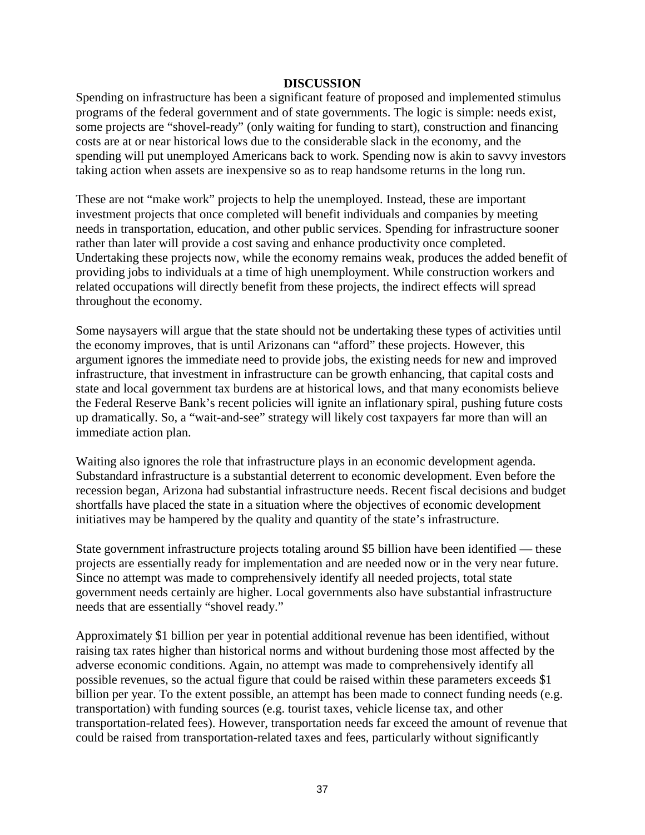#### **DISCUSSION**

Spending on infrastructure has been a significant feature of proposed and implemented stimulus programs of the federal government and of state governments. The logic is simple: needs exist, some projects are "shovel-ready" (only waiting for funding to start), construction and financing costs are at or near historical lows due to the considerable slack in the economy, and the spending will put unemployed Americans back to work. Spending now is akin to savvy investors taking action when assets are inexpensive so as to reap handsome returns in the long run.

These are not "make work" projects to help the unemployed. Instead, these are important investment projects that once completed will benefit individuals and companies by meeting needs in transportation, education, and other public services. Spending for infrastructure sooner rather than later will provide a cost saving and enhance productivity once completed. Undertaking these projects now, while the economy remains weak, produces the added benefit of providing jobs to individuals at a time of high unemployment. While construction workers and related occupations will directly benefit from these projects, the indirect effects will spread throughout the economy.

Some naysayers will argue that the state should not be undertaking these types of activities until the economy improves, that is until Arizonans can "afford" these projects. However, this argument ignores the immediate need to provide jobs, the existing needs for new and improved infrastructure, that investment in infrastructure can be growth enhancing, that capital costs and state and local government tax burdens are at historical lows, and that many economists believe the Federal Reserve Bank's recent policies will ignite an inflationary spiral, pushing future costs up dramatically. So, a "wait-and-see" strategy will likely cost taxpayers far more than will an immediate action plan.

Waiting also ignores the role that infrastructure plays in an economic development agenda. Substandard infrastructure is a substantial deterrent to economic development. Even before the recession began, Arizona had substantial infrastructure needs. Recent fiscal decisions and budget shortfalls have placed the state in a situation where the objectives of economic development initiatives may be hampered by the quality and quantity of the state's infrastructure.

State government infrastructure projects totaling around \$5 billion have been identified — these projects are essentially ready for implementation and are needed now or in the very near future. Since no attempt was made to comprehensively identify all needed projects, total state government needs certainly are higher. Local governments also have substantial infrastructure needs that are essentially "shovel ready."

Approximately \$1 billion per year in potential additional revenue has been identified, without raising tax rates higher than historical norms and without burdening those most affected by the adverse economic conditions. Again, no attempt was made to comprehensively identify all possible revenues, so the actual figure that could be raised within these parameters exceeds \$1 billion per year. To the extent possible, an attempt has been made to connect funding needs (e.g. transportation) with funding sources (e.g. tourist taxes, vehicle license tax, and other transportation-related fees). However, transportation needs far exceed the amount of revenue that could be raised from transportation-related taxes and fees, particularly without significantly